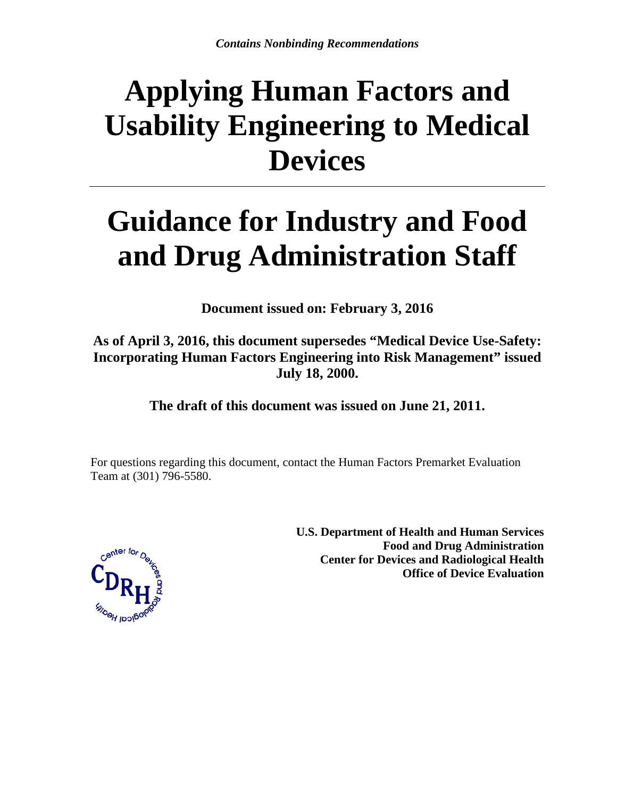# **Applying Human Factors and Usability Engineering to Medical Devices**

# **Guidance for Industry and Food and Drug Administration Staff**

**Document issued on: February 3, 2016**

**As of April 3, 2016, this document supersedes "Medical Device Use-Safety: Incorporating Human Factors Engineering into Risk Management" issued July 18, 2000.** 

**The draft of this document was issued on June 21, 2011.**

For questions regarding this document, contact the Human Factors Premarket Evaluation Team at (301) 796-5580.



**U.S. Department of Health and Human Services Food and Drug Administration Center for Devices and Radiological Health Office of Device Evaluation**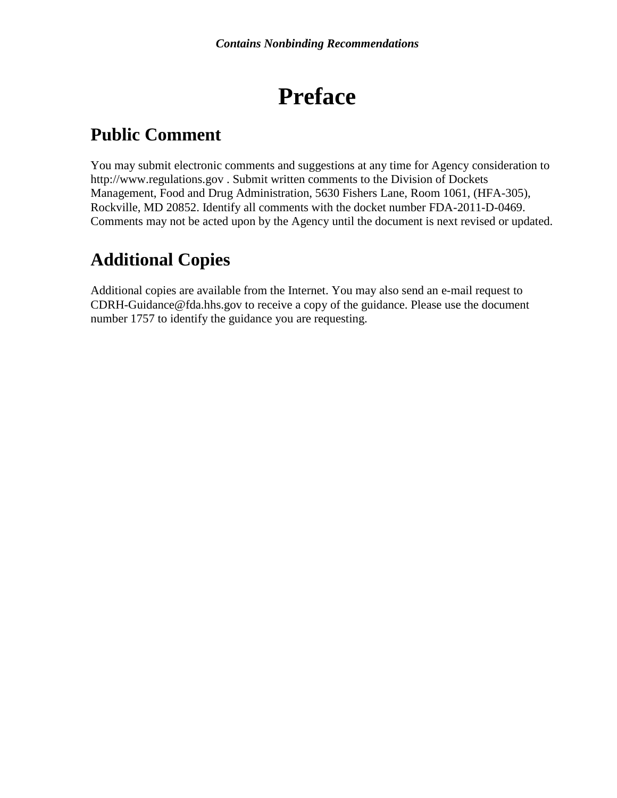## **Preface**

### **Public Comment**

You may submit electronic comments and suggestions at any time for Agency consideration to http://www.regulations.gov . Submit written comments to the Division of Dockets Management, Food and Drug Administration, 5630 Fishers Lane, Room 1061, (HFA-305), Rockville, MD 20852. Identify all comments with the docket number FDA-2011-D-0469. Comments may not be acted upon by the Agency until the document is next revised or updated.

## **Additional Copies**

Additional copies are available from the Internet. You may also send an e-mail request to CDRH-Guidance@fda.hhs.gov to receive a copy of the guidance. Please use the document number 1757 to identify the guidance you are requesting.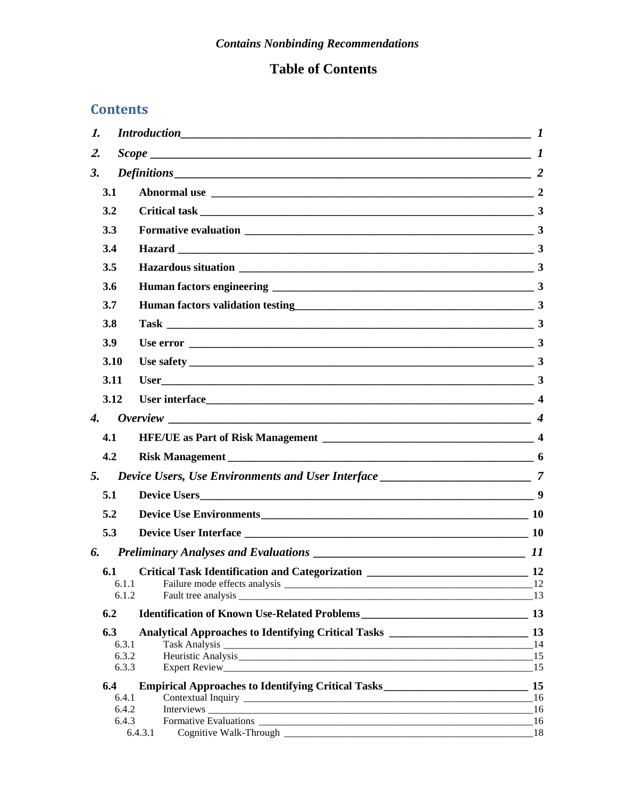#### *Contains Nonbinding Recommendations*

#### **Table of Contents**

#### **Contents**

| 1.   |                                                                                                                                                                                                                                                                                                                                                                                                                                      |  |
|------|--------------------------------------------------------------------------------------------------------------------------------------------------------------------------------------------------------------------------------------------------------------------------------------------------------------------------------------------------------------------------------------------------------------------------------------|--|
| 2.   | $\textit{Scope} \_$                                                                                                                                                                                                                                                                                                                                                                                                                  |  |
| 3.   | $\begin{tabular}{c} Definitions \end{tabular} \begin{tabular}{ c c c c } \hline \rule{0.3cm}{.01cm} \textbf{Definitions} \end{tabular} \begin{tabular}{ c c c c } \hline \rule{0.3cm}{.01cm} \textbf{1} & \textbf{2} & \textbf{3} & \textbf{4} & \textbf{5} & \textbf{5} & \textbf{6} & \textbf{6} & \textbf{7} & \textbf{10} & \textbf{10} & \textbf{10} & \textbf{10} & \textbf{10} & \textbf{10} & \textbf{10} & \textbf{10} & \$ |  |
| 3.1  |                                                                                                                                                                                                                                                                                                                                                                                                                                      |  |
| 3.2  |                                                                                                                                                                                                                                                                                                                                                                                                                                      |  |
| 3.3  |                                                                                                                                                                                                                                                                                                                                                                                                                                      |  |
| 3.4  |                                                                                                                                                                                                                                                                                                                                                                                                                                      |  |
| 3.5  |                                                                                                                                                                                                                                                                                                                                                                                                                                      |  |
| 3.6  |                                                                                                                                                                                                                                                                                                                                                                                                                                      |  |
| 3.7  |                                                                                                                                                                                                                                                                                                                                                                                                                                      |  |
| 3.8  |                                                                                                                                                                                                                                                                                                                                                                                                                                      |  |
|      |                                                                                                                                                                                                                                                                                                                                                                                                                                      |  |
| 3.9  |                                                                                                                                                                                                                                                                                                                                                                                                                                      |  |
| 3.10 |                                                                                                                                                                                                                                                                                                                                                                                                                                      |  |
| 3.11 |                                                                                                                                                                                                                                                                                                                                                                                                                                      |  |
| 3.12 |                                                                                                                                                                                                                                                                                                                                                                                                                                      |  |
| 4.   | $0$ verview $\qquad \qquad$ 4                                                                                                                                                                                                                                                                                                                                                                                                        |  |
| 4.1  |                                                                                                                                                                                                                                                                                                                                                                                                                                      |  |
| 4.2  |                                                                                                                                                                                                                                                                                                                                                                                                                                      |  |
| 5.   |                                                                                                                                                                                                                                                                                                                                                                                                                                      |  |
| 5.1  |                                                                                                                                                                                                                                                                                                                                                                                                                                      |  |
| 5.2  | Device Use Environments 10                                                                                                                                                                                                                                                                                                                                                                                                           |  |
| 5.3  |                                                                                                                                                                                                                                                                                                                                                                                                                                      |  |
| 6.   |                                                                                                                                                                                                                                                                                                                                                                                                                                      |  |
| 6.1  |                                                                                                                                                                                                                                                                                                                                                                                                                                      |  |
|      | 6.1.1                                                                                                                                                                                                                                                                                                                                                                                                                                |  |
|      | 6.1.2                                                                                                                                                                                                                                                                                                                                                                                                                                |  |
| 6.2  |                                                                                                                                                                                                                                                                                                                                                                                                                                      |  |
| 6.3  | Analytical Approaches to Identifying Critical Tasks _____________________________ 13<br>6.3.1                                                                                                                                                                                                                                                                                                                                        |  |
|      | 6.3.2                                                                                                                                                                                                                                                                                                                                                                                                                                |  |
|      | 6.3.3                                                                                                                                                                                                                                                                                                                                                                                                                                |  |
| 6.4  |                                                                                                                                                                                                                                                                                                                                                                                                                                      |  |
|      | 6.4.1                                                                                                                                                                                                                                                                                                                                                                                                                                |  |
|      | 6.4.2<br>Interviews 16                                                                                                                                                                                                                                                                                                                                                                                                               |  |
|      | 6.4.3<br>6.4.3.1                                                                                                                                                                                                                                                                                                                                                                                                                     |  |
|      |                                                                                                                                                                                                                                                                                                                                                                                                                                      |  |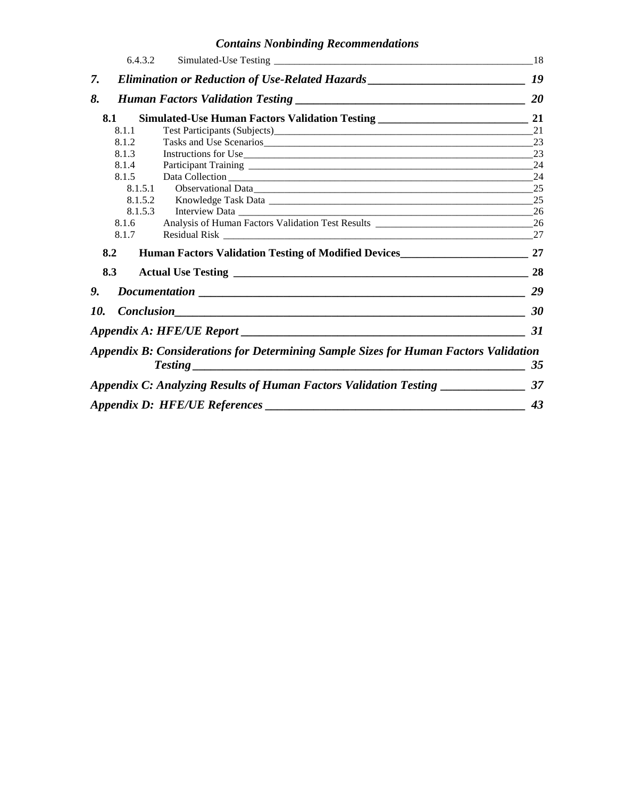|     | 6.4.3.2 |                                                                                      |           |
|-----|---------|--------------------------------------------------------------------------------------|-----------|
| 7.  |         | Elimination or Reduction of Use-Related Hazards ________________________________     | 19        |
| 8.  |         |                                                                                      | <b>20</b> |
|     | 8.1     |                                                                                      |           |
|     | 8.1.1   |                                                                                      | 21        |
|     | 8.1.2   |                                                                                      | 23        |
|     | 8.1.3   | Instructions for Use                                                                 | 23        |
|     | 8.1.4   |                                                                                      | 24        |
|     | 8.1.5   |                                                                                      | 24        |
|     | 8.1.5.1 |                                                                                      | 25        |
|     | 8.1.5.2 | Knowledge Task Data                                                                  | 25        |
|     | 8.1.5.3 |                                                                                      | 26        |
|     | 8.1.6   |                                                                                      |           |
|     | 8.1.7   |                                                                                      | 27        |
|     | 8.2     |                                                                                      |           |
|     | 8.3     |                                                                                      | 28        |
| 9.  |         |                                                                                      | 29        |
| 10. |         |                                                                                      | 30        |
|     |         |                                                                                      | 31        |
|     |         | Appendix B: Considerations for Determining Sample Sizes for Human Factors Validation |           |
|     |         |                                                                                      | 35        |
|     |         | Appendix C: Analyzing Results of Human Factors Validation Testing ______________     | 37        |
|     |         |                                                                                      | 43        |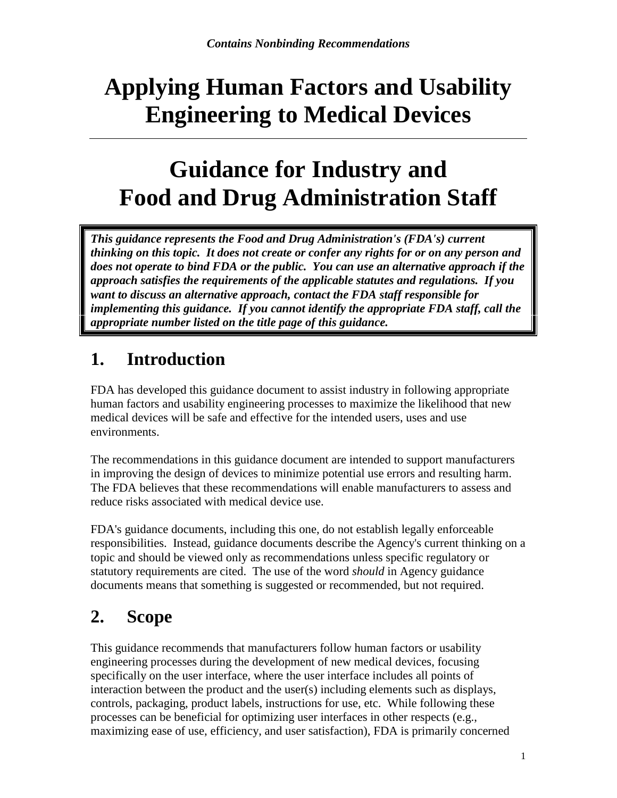## **Applying Human Factors and Usability Engineering to Medical Devices**

## **Guidance for Industry and Food and Drug Administration Staff**

*This guidance represents the Food and Drug Administration's (FDA's) current thinking on this topic. It does not create or confer any rights for or on any person and does not operate to bind FDA or the public. You can use an alternative approach if the approach satisfies the requirements of the applicable statutes and regulations. If you want to discuss an alternative approach, contact the FDA staff responsible for implementing this guidance. If you cannot identify the appropriate FDA staff, call the appropriate number listed on the title page of this guidance.* 

### <span id="page-4-0"></span>**1. Introduction**

FDA has developed this guidance document to assist industry in following appropriate human factors and usability engineering processes to maximize the likelihood that new medical devices will be safe and effective for the intended users, uses and use environments.

The recommendations in this guidance document are intended to support manufacturers in improving the design of devices to minimize potential use errors and resulting harm. The FDA believes that these recommendations will enable manufacturers to assess and reduce risks associated with medical device use.

FDA's guidance documents, including this one, do not establish legally enforceable responsibilities. Instead, guidance documents describe the Agency's current thinking on a topic and should be viewed only as recommendations unless specific regulatory or statutory requirements are cited. The use of the word *should* in Agency guidance documents means that something is suggested or recommended, but not required.

## <span id="page-4-1"></span>**2. Scope**

This guidance recommends that manufacturers follow human factors or usability engineering processes during the development of new medical devices, focusing specifically on the user interface, where the user interface includes all points of interaction between the product and the user(s) including elements such as displays, controls, packaging, product labels, instructions for use, etc. While following these processes can be beneficial for optimizing user interfaces in other respects (e.g., maximizing ease of use, efficiency, and user satisfaction), FDA is primarily concerned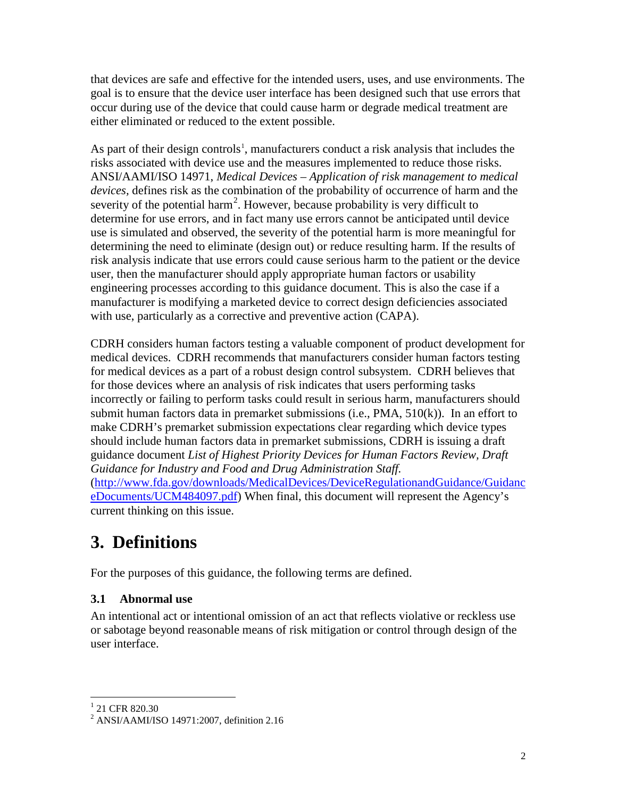that devices are safe and effective for the intended users, uses, and use environments. The goal is to ensure that the device user interface has been designed such that use errors that occur during use of the device that could cause harm or degrade medical treatment are either eliminated or reduced to the extent possible.

As part of their design controls<sup>[1](#page-5-2)</sup>, manufacturers conduct a risk analysis that includes the risks associated with device use and the measures implemented to reduce those risks. ANSI/AAMI/ISO 14971, *Medical Devices – Application of risk management to medical devices,* defines risk as the combination of the probability of occurrence of harm and the severity of the potential harm<sup>[2](#page-5-3)</sup>. However, because probability is very difficult to determine for use errors, and in fact many use errors cannot be anticipated until device use is simulated and observed, the severity of the potential harm is more meaningful for determining the need to eliminate (design out) or reduce resulting harm. If the results of risk analysis indicate that use errors could cause serious harm to the patient or the device user, then the manufacturer should apply appropriate human factors or usability engineering processes according to this guidance document. This is also the case if a manufacturer is modifying a marketed device to correct design deficiencies associated with use, particularly as a corrective and preventive action (CAPA).

CDRH considers human factors testing a valuable component of product development for medical devices. CDRH recommends that manufacturers consider human factors testing for medical devices as a part of a robust design control subsystem. CDRH believes that for those devices where an analysis of risk indicates that users performing tasks incorrectly or failing to perform tasks could result in serious harm, manufacturers should submit human factors data in premarket submissions (i.e.,  $PMA$ ,  $510(k)$ ). In an effort to make CDRH's premarket submission expectations clear regarding which device types should include human factors data in premarket submissions, CDRH is issuing a draft guidance document *List of Highest Priority Devices for Human Factors Review, Draft Guidance for Industry and Food and Drug Administration Staff.*  [\(http://www.fda.gov/downloads/MedicalDevices/DeviceRegulationandGuidance/Guidanc](http://www.fda.gov/downloads/MedicalDevices/DeviceRegulationandGuidance/GuidanceDocuments/UCM484097.pdf) [eDocuments/UCM484097.pdf\)](http://www.fda.gov/downloads/MedicalDevices/DeviceRegulationandGuidance/GuidanceDocuments/UCM484097.pdf) When final, this document will represent the Agency's current thinking on this issue.

## <span id="page-5-0"></span>**3. Definitions**

For the purposes of this guidance, the following terms are defined.

#### <span id="page-5-1"></span>**3.1 Abnormal use**

An intentional act or intentional omission of an act that reflects violative or reckless use or sabotage beyond reasonable means of risk mitigation or control through design of the user interface.

 $\overline{a}$  $1$  21 CFR 820.30

<span id="page-5-3"></span><span id="page-5-2"></span><sup>&</sup>lt;sup>2</sup> ANSI/AAMI/ISO 14971:2007, definition 2.16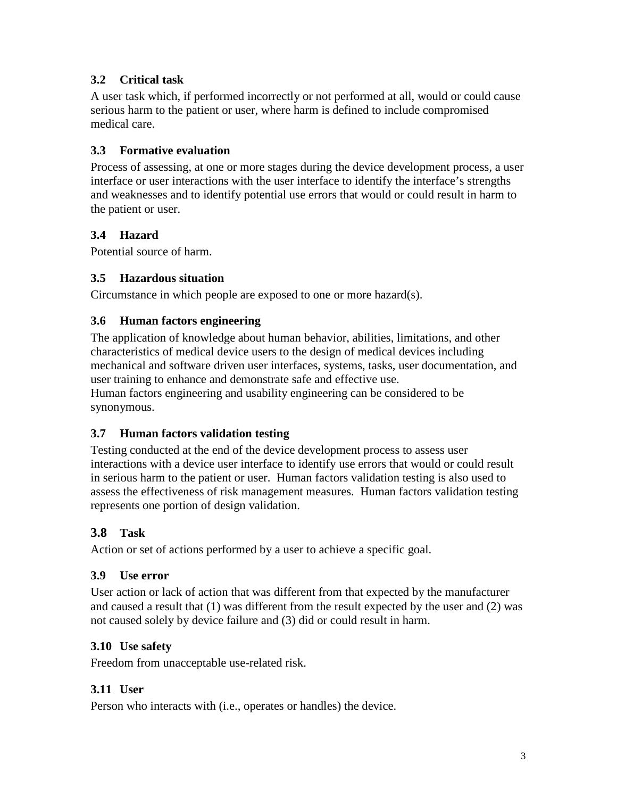#### <span id="page-6-0"></span>**3.2 Critical task**

A user task which, if performed incorrectly or not performed at all, would or could cause serious harm to the patient or user, where harm is defined to include compromised medical care.

#### <span id="page-6-1"></span>**3.3 Formative evaluation**

Process of assessing, at one or more stages during the device development process, a user interface or user interactions with the user interface to identify the interface's strengths and weaknesses and to identify potential use errors that would or could result in harm to the patient or user.

#### <span id="page-6-2"></span>**3.4 Hazard**

Potential source of harm.

#### <span id="page-6-3"></span>**3.5 Hazardous situation**

<span id="page-6-4"></span>Circumstance in which people are exposed to one or more hazard(s).

#### **3.6 Human factors engineering**

The application of knowledge about human behavior, abilities, limitations, and other characteristics of medical device users to the design of medical devices including mechanical and software driven user interfaces, systems, tasks, user documentation, and user training to enhance and demonstrate safe and effective use.

Human factors engineering and usability engineering can be considered to be synonymous.

#### <span id="page-6-5"></span>**3.7 Human factors validation testing**

Testing conducted at the end of the device development process to assess user interactions with a device user interface to identify use errors that would or could result in serious harm to the patient or user. Human factors validation testing is also used to assess the effectiveness of risk management measures. Human factors validation testing represents one portion of design validation.

#### <span id="page-6-6"></span>**3.8 Task**

<span id="page-6-7"></span>Action or set of actions performed by a user to achieve a specific goal.

#### **3.9 Use error**

User action or lack of action that was different from that expected by the manufacturer and caused a result that (1) was different from the result expected by the user and (2) was not caused solely by device failure and (3) did or could result in harm.

#### <span id="page-6-8"></span>**3.10 Use safety**

<span id="page-6-9"></span>Freedom from unacceptable use-related risk.

#### **3.11 User**

Person who interacts with (i.e., operates or handles) the device.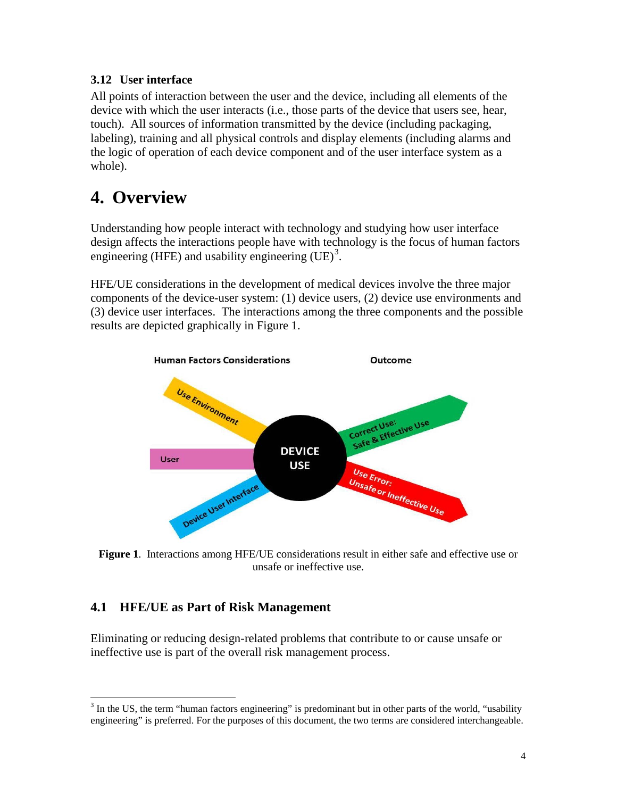#### <span id="page-7-0"></span>**3.12 User interface**

All points of interaction between the user and the device, including all elements of the device with which the user interacts (i.e., those parts of the device that users see, hear, touch). All sources of information transmitted by the device (including packaging, labeling), training and all physical controls and display elements (including alarms and the logic of operation of each device component and of the user interface system as a whole).

## <span id="page-7-1"></span>**4. Overview**

Understanding how people interact with technology and studying how user interface design affects the interactions people have with technology is the focus of human factors engineering (HFE) and usability engineering  $(UE)^3$  $(UE)^3$ .

HFE/UE considerations in the development of medical devices involve the three major components of the device-user system: (1) device users, (2) device use environments and (3) device user interfaces. The interactions among the three components and the possible results are depicted graphically in Figure 1.



**Figure 1**. Interactions among HFE/UE considerations result in either safe and effective use or unsafe or ineffective use.

#### <span id="page-7-2"></span>**4.1 HFE/UE as Part of Risk Management**

Eliminating or reducing design-related problems that contribute to or cause unsafe or ineffective use is part of the overall risk management process.

<span id="page-7-3"></span> $\overline{a}$  $3$  In the US, the term "human factors engineering" is predominant but in other parts of the world, "usability engineering" is preferred. For the purposes of this document, the two terms are considered interchangeable.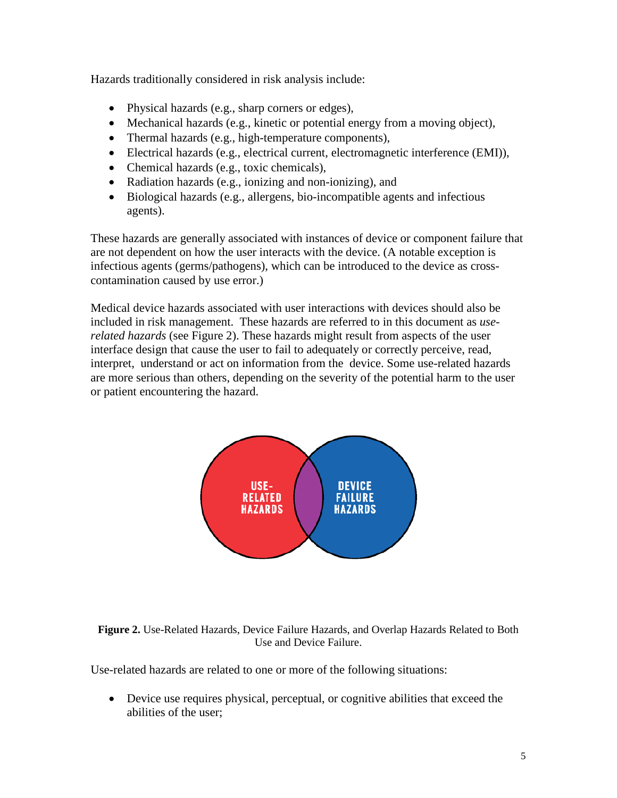Hazards traditionally considered in risk analysis include:

- Physical hazards (e.g., sharp corners or edges),
- Mechanical hazards (e.g., kinetic or potential energy from a moving object),
- Thermal hazards (e.g., high-temperature components),
- Electrical hazards (e.g., electrical current, electromagnetic interference (EMI)),
- Chemical hazards (e.g., toxic chemicals),
- Radiation hazards (e.g., ionizing and non-ionizing), and
- Biological hazards (e.g., allergens, bio-incompatible agents and infectious agents).

These hazards are generally associated with instances of device or component failure that are not dependent on how the user interacts with the device. (A notable exception is infectious agents (germs/pathogens), which can be introduced to the device as crosscontamination caused by use error.)

Medical device hazards associated with user interactions with devices should also be included in risk management. These hazards are referred to in this document as *userelated hazards* (see Figure 2). These hazards might result from aspects of the user interface design that cause the user to fail to adequately or correctly perceive, read, interpret, understand or act on information from the device. Some use-related hazards are more serious than others, depending on the severity of the potential harm to the user or patient encountering the hazard.



#### **Figure 2.** Use-Related Hazards, Device Failure Hazards, and Overlap Hazards Related to Both Use and Device Failure.

Use-related hazards are related to one or more of the following situations:

• Device use requires physical, perceptual, or cognitive abilities that exceed the abilities of the user;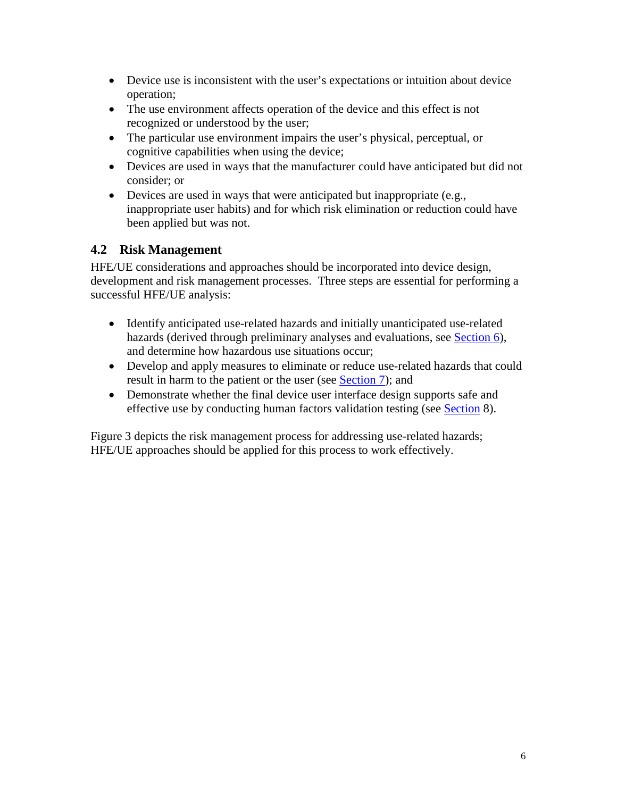- Device use is inconsistent with the user's expectations or intuition about device operation;
- The use environment affects operation of the device and this effect is not recognized or understood by the user;
- The particular use environment impairs the user's physical, perceptual, or cognitive capabilities when using the device;
- Devices are used in ways that the manufacturer could have anticipated but did not consider; or
- Devices are used in ways that were anticipated but inappropriate (e.g., inappropriate user habits) and for which risk elimination or reduction could have been applied but was not.

#### <span id="page-9-0"></span>**4.2 Risk Management**

HFE/UE considerations and approaches should be incorporated into device design, development and risk management processes. Three steps are essential for performing a successful HFE/UE analysis:

- Identify anticipated use-related hazards and initially unanticipated use-related hazards (derived through preliminary analyses and evaluations, see [Section 6\)](#page-14-1), and determine how hazardous use situations occur;
- Develop and apply measures to eliminate or reduce use-related hazards that could result in harm to the patient or the user (see [Section 7\)](#page-22-0); and
- Demonstrate whether the final device user interface design supports safe and effective use by conducting human factors validation testing (see [Section](#page-23-0) 8).

Figure 3 depicts the risk management process for addressing use-related hazards; HFE/UE approaches should be applied for this process to work effectively.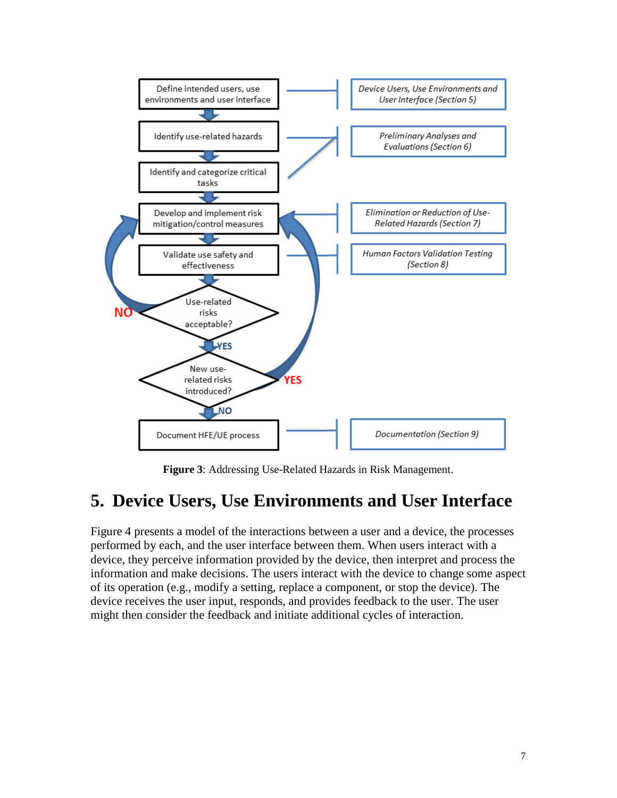

**Figure 3**: Addressing Use-Related Hazards in Risk Management.

### <span id="page-10-0"></span>**5. Device Users, Use Environments and User Interface**

Figure 4 presents a model of the interactions between a user and a device, the processes performed by each, and the user interface between them. When users interact with a device, they perceive information provided by the device, then interpret and process the information and make decisions. The users interact with the device to change some aspect of its operation (e.g., modify a setting, replace a component, or stop the device). The device receives the user input, responds, and provides feedback to the user. The user might then consider the feedback and initiate additional cycles of interaction.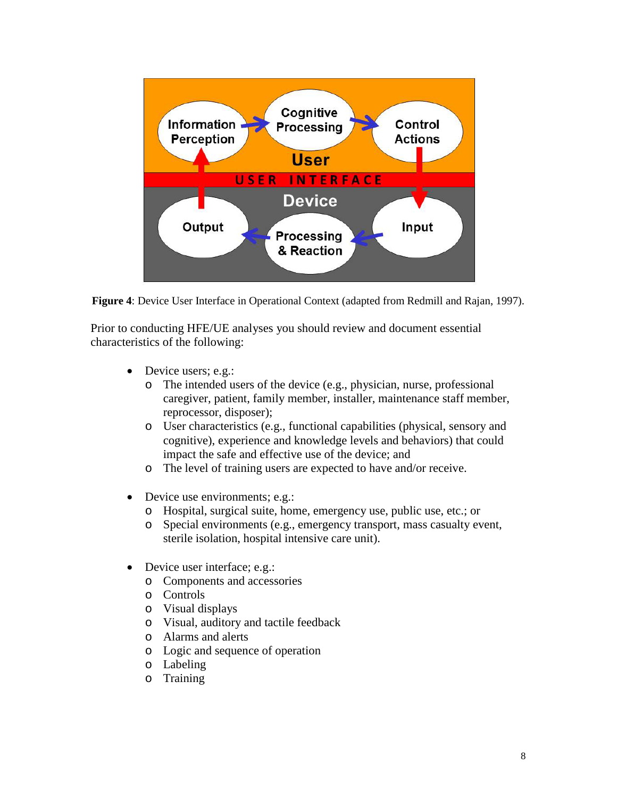

**Figure 4**: Device User Interface in Operational Context (adapted from Redmill and Rajan, 1997).

Prior to conducting HFE/UE analyses you should review and document essential characteristics of the following:

- Device users; e.g.:
	- o The intended users of the device (e.g., physician, nurse, professional caregiver, patient, family member, installer, maintenance staff member, reprocessor, disposer);
	- o User characteristics (e.g., functional capabilities (physical, sensory and cognitive), experience and knowledge levels and behaviors) that could impact the safe and effective use of the device; and
	- o The level of training users are expected to have and/or receive.
- Device use environments; e.g.:
	- o Hospital, surgical suite, home, emergency use, public use, etc.; or
	- o Special environments (e.g., emergency transport, mass casualty event, sterile isolation, hospital intensive care unit).
- Device user interface; e.g.:
	- o Components and accessories
	- o Controls
	- o Visual displays
	- o Visual, auditory and tactile feedback
	- o Alarms and alerts
	- o Logic and sequence of operation
	- o Labeling
	- o Training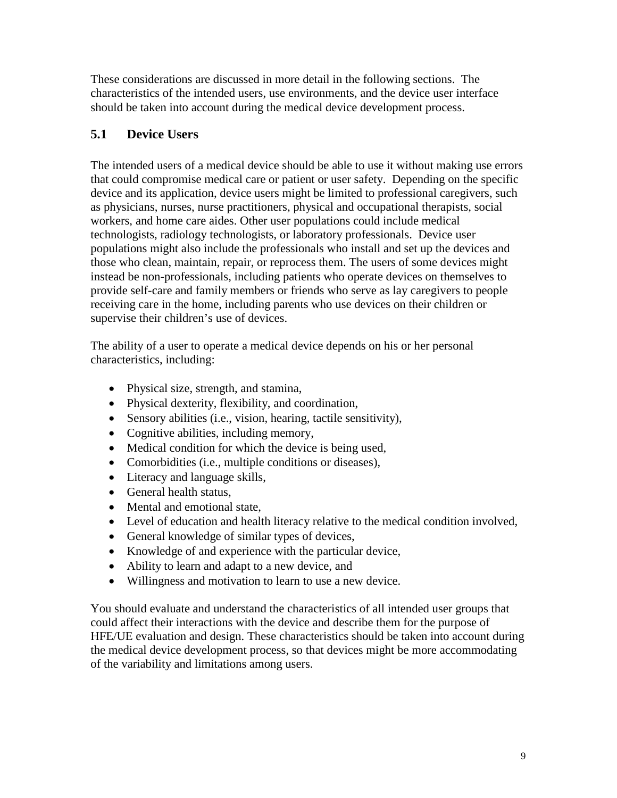These considerations are discussed in more detail in the following sections. The characteristics of the intended users, use environments, and the device user interface should be taken into account during the medical device development process.

#### <span id="page-12-0"></span>**5.1 Device Users**

The intended users of a medical device should be able to use it without making use errors that could compromise medical care or patient or user safety. Depending on the specific device and its application, device users might be limited to professional caregivers, such as physicians, nurses, nurse practitioners, physical and occupational therapists, social workers, and home care aides. Other user populations could include medical technologists, radiology technologists, or laboratory professionals. Device user populations might also include the professionals who install and set up the devices and those who clean, maintain, repair, or reprocess them. The users of some devices might instead be non-professionals, including patients who operate devices on themselves to provide self-care and family members or friends who serve as lay caregivers to people receiving care in the home, including parents who use devices on their children or supervise their children's use of devices.

The ability of a user to operate a medical device depends on his or her personal characteristics, including:

- Physical size, strength, and stamina,
- Physical dexterity, flexibility, and coordination,
- Sensory abilities (i.e., vision, hearing, tactile sensitivity),
- Cognitive abilities, including memory,
- Medical condition for which the device is being used,
- Comorbidities (i.e., multiple conditions or diseases),
- Literacy and language skills,
- General health status,
- Mental and emotional state,
- Level of education and health literacy relative to the medical condition involved,
- General knowledge of similar types of devices,
- Knowledge of and experience with the particular device,
- Ability to learn and adapt to a new device, and
- Willingness and motivation to learn to use a new device.

You should evaluate and understand the characteristics of all intended user groups that could affect their interactions with the device and describe them for the purpose of HFE/UE evaluation and design. These characteristics should be taken into account during the medical device development process, so that devices might be more accommodating of the variability and limitations among users.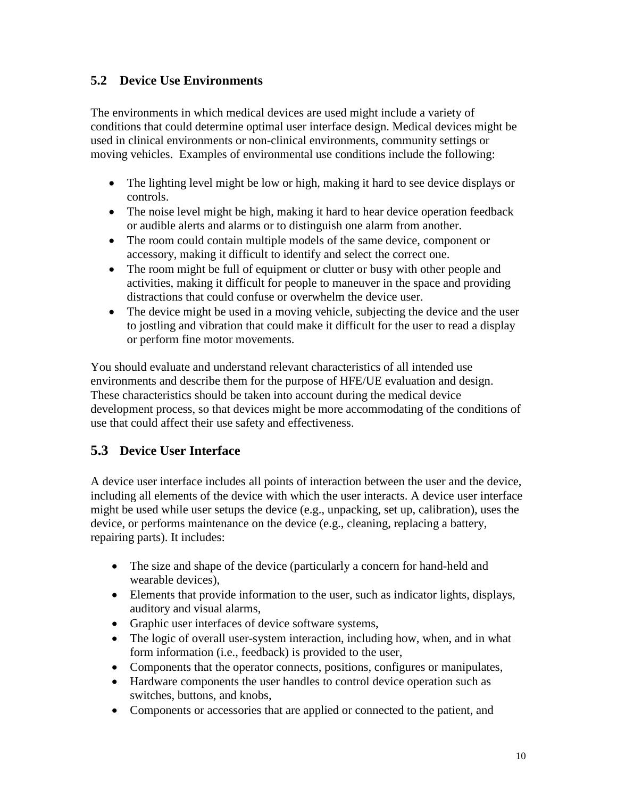#### <span id="page-13-0"></span>**5.2 Device Use Environments**

The environments in which medical devices are used might include a variety of conditions that could determine optimal user interface design. Medical devices might be used in clinical environments or non-clinical environments, community settings or moving vehicles. Examples of environmental use conditions include the following:

- The lighting level might be low or high, making it hard to see device displays or controls.
- The noise level might be high, making it hard to hear device operation feedback or audible alerts and alarms or to distinguish one alarm from another.
- The room could contain multiple models of the same device, component or accessory, making it difficult to identify and select the correct one.
- The room might be full of equipment or clutter or busy with other people and activities, making it difficult for people to maneuver in the space and providing distractions that could confuse or overwhelm the device user.
- The device might be used in a moving vehicle, subjecting the device and the user to jostling and vibration that could make it difficult for the user to read a display or perform fine motor movements.

You should evaluate and understand relevant characteristics of all intended use environments and describe them for the purpose of HFE/UE evaluation and design. These characteristics should be taken into account during the medical device development process, so that devices might be more accommodating of the conditions of use that could affect their use safety and effectiveness.

#### <span id="page-13-1"></span>**5.3 Device User Interface**

A device user interface includes all points of interaction between the user and the device, including all elements of the device with which the user interacts. A device user interface might be used while user setups the device (e.g., unpacking, set up, calibration), uses the device, or performs maintenance on the device (e.g., cleaning, replacing a battery, repairing parts). It includes:

- The size and shape of the device (particularly a concern for hand-held and wearable devices),
- Elements that provide information to the user, such as indicator lights, displays, auditory and visual alarms,
- Graphic user interfaces of device software systems,
- The logic of overall user-system interaction, including how, when, and in what form information (i.e., feedback) is provided to the user,
- Components that the operator connects, positions, configures or manipulates,
- Hardware components the user handles to control device operation such as switches, buttons, and knobs,
- Components or accessories that are applied or connected to the patient, and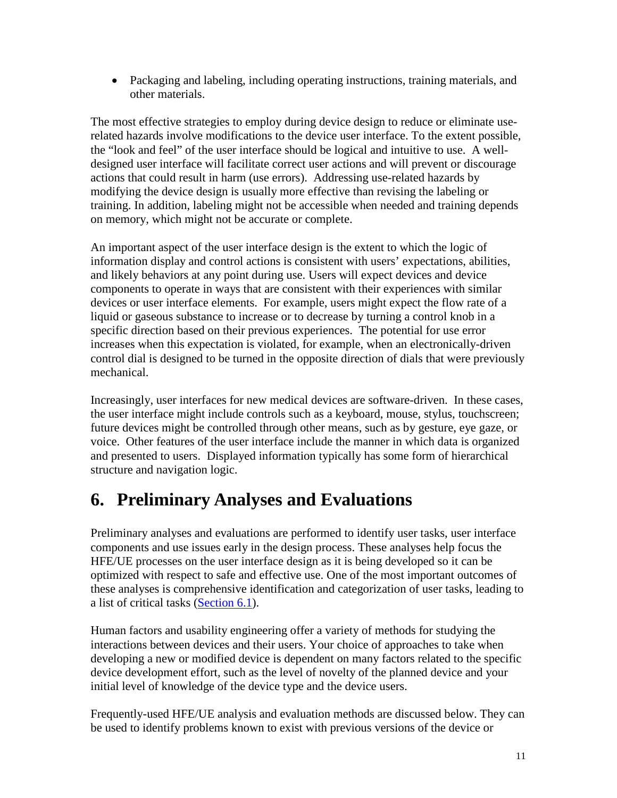• Packaging and labeling, including operating instructions, training materials, and other materials.

The most effective strategies to employ during device design to reduce or eliminate userelated hazards involve modifications to the device user interface. To the extent possible, the "look and feel" of the user interface should be logical and intuitive to use. A welldesigned user interface will facilitate correct user actions and will prevent or discourage actions that could result in harm (use errors). Addressing use-related hazards by modifying the device design is usually more effective than revising the labeling or training. In addition, labeling might not be accessible when needed and training depends on memory, which might not be accurate or complete.

An important aspect of the user interface design is the extent to which the logic of information display and control actions is consistent with users' expectations, abilities, and likely behaviors at any point during use. Users will expect devices and device components to operate in ways that are consistent with their experiences with similar devices or user interface elements. For example, users might expect the flow rate of a liquid or gaseous substance to increase or to decrease by turning a control knob in a specific direction based on their previous experiences. The potential for use error increases when this expectation is violated, for example, when an electronically-driven control dial is designed to be turned in the opposite direction of dials that were previously mechanical.

Increasingly, user interfaces for new medical devices are software-driven. In these cases, the user interface might include controls such as a keyboard, mouse, stylus, touchscreen; future devices might be controlled through other means, such as by gesture, eye gaze, or voice. Other features of the user interface include the manner in which data is organized and presented to users. Displayed information typically has some form of hierarchical structure and navigation logic.

## <span id="page-14-1"></span><span id="page-14-0"></span>**6. Preliminary Analyses and Evaluations**

Preliminary analyses and evaluations are performed to identify user tasks, user interface components and use issues early in the design process. These analyses help focus the HFE/UE processes on the user interface design as it is being developed so it can be optimized with respect to safe and effective use. One of the most important outcomes of these analyses is comprehensive identification and categorization of user tasks, leading to a list of critical tasks [\(Section 6.1\)](#page-15-2).

Human factors and usability engineering offer a variety of methods for studying the interactions between devices and their users. Your choice of approaches to take when developing a new or modified device is dependent on many factors related to the specific device development effort, such as the level of novelty of the planned device and your initial level of knowledge of the device type and the device users.

Frequently-used HFE/UE analysis and evaluation methods are discussed below. They can be used to identify problems known to exist with previous versions of the device or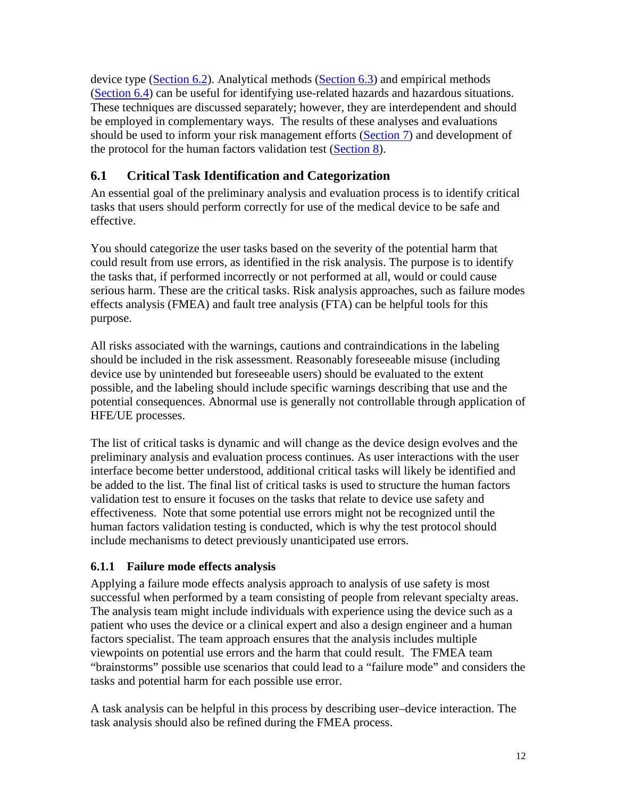device type [\(Section 6.2\)](#page-16-3). Analytical methods [\(Section 6.3\)](#page-16-4) and empirical methods [\(Section 6.4\)](#page-18-3) can be useful for identifying use-related hazards and hazardous situations. These techniques are discussed separately; however, they are interdependent and should be employed in complementary ways. The results of these analyses and evaluations should be used to inform your risk management efforts [\(Section 7\)](#page-22-0) and development of the protocol for the human factors validation test [\(Section 8\)](#page-23-0).

#### <span id="page-15-2"></span><span id="page-15-0"></span>**6.1 Critical Task Identification and Categorization**

An essential goal of the preliminary analysis and evaluation process is to identify critical tasks that users should perform correctly for use of the medical device to be safe and effective.

You should categorize the user tasks based on the severity of the potential harm that could result from use errors, as identified in the risk analysis. The purpose is to identify the tasks that, if performed incorrectly or not performed at all, would or could cause serious harm. These are the critical tasks. Risk analysis approaches, such as failure modes effects analysis (FMEA) and fault tree analysis (FTA) can be helpful tools for this purpose.

All risks associated with the warnings, cautions and contraindications in the labeling should be included in the risk assessment. Reasonably foreseeable misuse (including device use by unintended but foreseeable users) should be evaluated to the extent possible, and the labeling should include specific warnings describing that use and the potential consequences. Abnormal use is generally not controllable through application of HFE/UE processes.

The list of critical tasks is dynamic and will change as the device design evolves and the preliminary analysis and evaluation process continues. As user interactions with the user interface become better understood, additional critical tasks will likely be identified and be added to the list. The final list of critical tasks is used to structure the human factors validation test to ensure it focuses on the tasks that relate to device use safety and effectiveness. Note that some potential use errors might not be recognized until the human factors validation testing is conducted, which is why the test protocol should include mechanisms to detect previously unanticipated use errors.

#### <span id="page-15-1"></span>**6.1.1 Failure mode effects analysis**

Applying a failure mode effects analysis approach to analysis of use safety is most successful when performed by a team consisting of people from relevant specialty areas. The analysis team might include individuals with experience using the device such as a patient who uses the device or a clinical expert and also a design engineer and a human factors specialist. The team approach ensures that the analysis includes multiple viewpoints on potential use errors and the harm that could result. The FMEA team "brainstorms" possible use scenarios that could lead to a "failure mode" and considers the tasks and potential harm for each possible use error.

A task analysis can be helpful in this process by describing user–device interaction. The task analysis should also be refined during the FMEA process.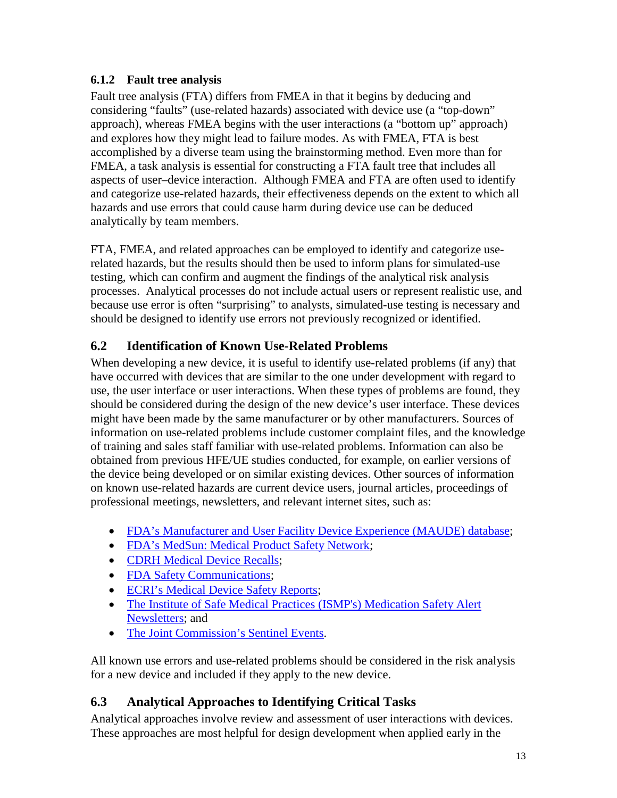#### <span id="page-16-0"></span>**6.1.2 Fault tree analysis**

Fault tree analysis (FTA) differs from FMEA in that it begins by deducing and considering "faults" (use-related hazards) associated with device use (a "top-down" approach), whereas FMEA begins with the user interactions (a "bottom up" approach) and explores how they might lead to failure modes. As with FMEA, FTA is best accomplished by a diverse team using the brainstorming method. Even more than for FMEA, a task analysis is essential for constructing a FTA fault tree that includes all aspects of user–device interaction. Although FMEA and FTA are often used to identify and categorize use-related hazards, their effectiveness depends on the extent to which all hazards and use errors that could cause harm during device use can be deduced analytically by team members.

FTA, FMEA, and related approaches can be employed to identify and categorize userelated hazards, but the results should then be used to inform plans for simulated-use testing, which can confirm and augment the findings of the analytical risk analysis processes. Analytical processes do not include actual users or represent realistic use, and because use error is often "surprising" to analysts, simulated-use testing is necessary and should be designed to identify use errors not previously recognized or identified.

#### <span id="page-16-3"></span><span id="page-16-1"></span>**6.2 Identification of Known Use-Related Problems**

When developing a new device, it is useful to identify use-related problems (if any) that have occurred with devices that are similar to the one under development with regard to use, the user interface or user interactions. When these types of problems are found, they should be considered during the design of the new device's user interface. These devices might have been made by the same manufacturer or by other manufacturers. Sources of information on use-related problems include customer complaint files, and the knowledge of training and sales staff familiar with use-related problems. Information can also be obtained from previous HFE/UE studies conducted, for example, on earlier versions of the device being developed or on similar existing devices. Other sources of information on known use-related hazards are current device users, journal articles, proceedings of professional meetings, newsletters, and relevant internet sites, such as:

- [FDA's Manufacturer and User Facility Device Experience \(MAUDE\) database;](http://www.accessdata.fda.gov/scripts/cdrh/cfdocs/cfmaude/search.cfm)
- [FDA's MedSun: Medical Product Safety Network;](http://www.fda.gov/MedicalDevices/Safety/MedSunMedicalProductSafetyNetwork/)
- [CDRH Medical Device Recalls;](http://www.fda.gov/medicaldevices/safety/listofrecalls/)
- [FDA Safety Communications;](http://www.fda.gov/MedicalDevices/Safety/AlertsandNotices/)
- [ECRI's Medical Device Safety Reports;](http://www.mdsr.ecri.org/)
- The Institute of Safe Medical Practices (ISMP's) Medication Safety Alert [Newsletters;](http://www.ismp.org/Newsletters/) and
- [The Joint Commission's Sentinel Events.](http://www.jointcommission.org/sentinel_event.aspx)

All known use errors and use-related problems should be considered in the risk analysis for a new device and included if they apply to the new device.

#### <span id="page-16-4"></span><span id="page-16-2"></span>**6.3 Analytical Approaches to Identifying Critical Tasks**

Analytical approaches involve review and assessment of user interactions with devices. These approaches are most helpful for design development when applied early in the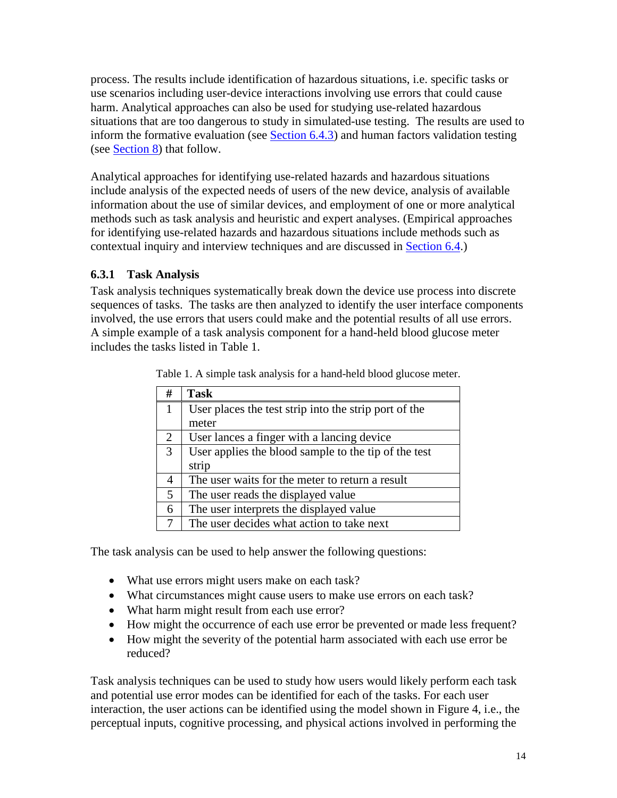process. The results include identification of hazardous situations, i.e. specific tasks or use scenarios including user-device interactions involving use errors that could cause harm. Analytical approaches can also be used for studying use-related hazardous situations that are too dangerous to study in simulated-use testing. The results are used to inform the formative evaluation (see [Section 6.4.3\)](#page-19-2) and human factors validation testing (see [Section 8\)](#page-23-0) that follow.

Analytical approaches for identifying use-related hazards and hazardous situations include analysis of the expected needs of users of the new device, analysis of available information about the use of similar devices, and employment of one or more analytical methods such as task analysis and heuristic and expert analyses. (Empirical approaches for identifying use-related hazards and hazardous situations include methods such as contextual inquiry and interview techniques and are discussed in [Section 6.4.](#page-18-3))

#### <span id="page-17-0"></span>**6.3.1 Task Analysis**

Task analysis techniques systematically break down the device use process into discrete sequences of tasks. The tasks are then analyzed to identify the user interface components involved, the use errors that users could make and the potential results of all use errors. A simple example of a task analysis component for a hand-held blood glucose meter includes the tasks listed in Table 1.

| #              | <b>Task</b>                                           |
|----------------|-------------------------------------------------------|
|                | User places the test strip into the strip port of the |
|                | meter                                                 |
| 2              | User lances a finger with a lancing device            |
| 3              | User applies the blood sample to the tip of the test  |
|                | strip                                                 |
| 4              | The user waits for the meter to return a result       |
| $\overline{5}$ | The user reads the displayed value                    |
| 6              | The user interprets the displayed value               |
| 7              | The user decides what action to take next             |

Table 1. A simple task analysis for a hand-held blood glucose meter.

The task analysis can be used to help answer the following questions:

- What use errors might users make on each task?
- What circumstances might cause users to make use errors on each task?
- What harm might result from each use error?
- How might the occurrence of each use error be prevented or made less frequent?
- How might the severity of the potential harm associated with each use error be reduced?

Task analysis techniques can be used to study how users would likely perform each task and potential use error modes can be identified for each of the tasks. For each user interaction, the user actions can be identified using the model shown in Figure 4, i.e., the perceptual inputs, cognitive processing, and physical actions involved in performing the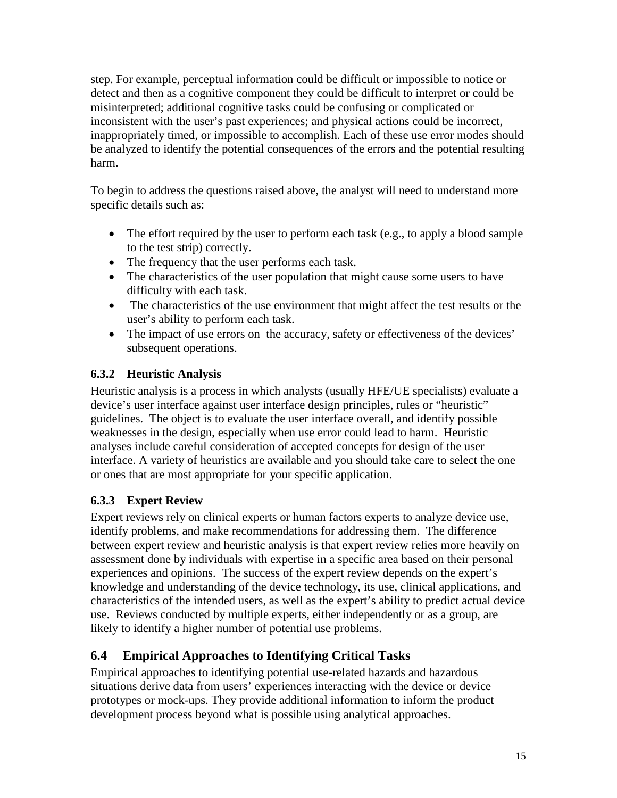step. For example, perceptual information could be difficult or impossible to notice or detect and then as a cognitive component they could be difficult to interpret or could be misinterpreted; additional cognitive tasks could be confusing or complicated or inconsistent with the user's past experiences; and physical actions could be incorrect, inappropriately timed, or impossible to accomplish. Each of these use error modes should be analyzed to identify the potential consequences of the errors and the potential resulting harm.

To begin to address the questions raised above, the analyst will need to understand more specific details such as:

- The effort required by the user to perform each task (e.g., to apply a blood sample to the test strip) correctly.
- The frequency that the user performs each task.
- The characteristics of the user population that might cause some users to have difficulty with each task.
- The characteristics of the use environment that might affect the test results or the user's ability to perform each task.
- The impact of use errors on the accuracy, safety or effectiveness of the devices' subsequent operations.

#### <span id="page-18-0"></span>**6.3.2 Heuristic Analysis**

Heuristic analysis is a process in which analysts (usually HFE/UE specialists) evaluate a device's user interface against user interface design principles, rules or "heuristic" guidelines. The object is to evaluate the user interface overall, and identify possible weaknesses in the design, especially when use error could lead to harm. Heuristic analyses include careful consideration of accepted concepts for design of the user interface. A variety of heuristics are available and you should take care to select the one or ones that are most appropriate for your specific application.

#### <span id="page-18-1"></span>**6.3.3 Expert Review**

Expert reviews rely on clinical experts or human factors experts to analyze device use, identify problems, and make recommendations for addressing them. The difference between expert review and heuristic analysis is that expert review relies more heavily on assessment done by individuals with expertise in a specific area based on their personal experiences and opinions. The success of the expert review depends on the expert's knowledge and understanding of the device technology, its use, clinical applications, and characteristics of the intended users, as well as the expert's ability to predict actual device use. Reviews conducted by multiple experts, either independently or as a group, are likely to identify a higher number of potential use problems.

#### <span id="page-18-3"></span><span id="page-18-2"></span>**6.4 Empirical Approaches to Identifying Critical Tasks**

Empirical approaches to identifying potential use-related hazards and hazardous situations derive data from users' experiences interacting with the device or device prototypes or mock-ups. They provide additional information to inform the product development process beyond what is possible using analytical approaches.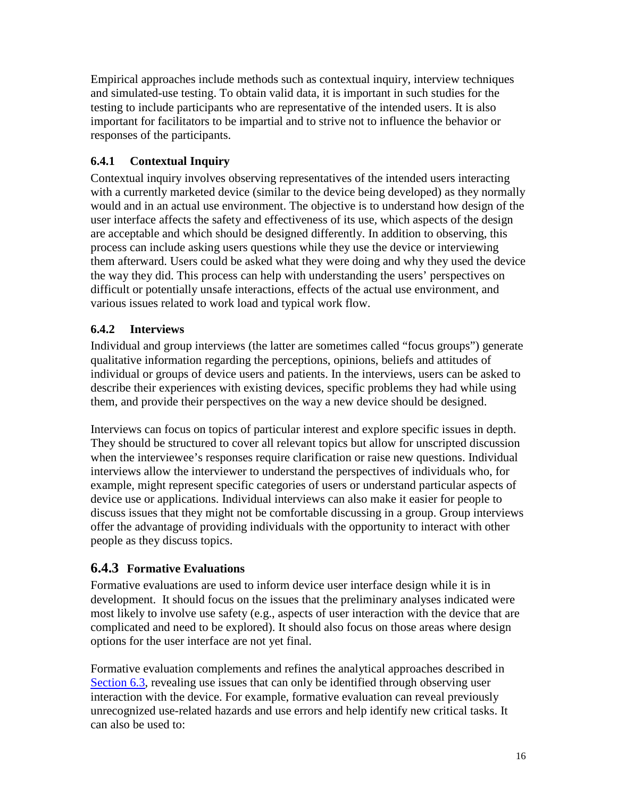Empirical approaches include methods such as contextual inquiry, interview techniques and simulated-use testing. To obtain valid data, it is important in such studies for the testing to include participants who are representative of the intended users. It is also important for facilitators to be impartial and to strive not to influence the behavior or responses of the participants.

#### <span id="page-19-0"></span>**6.4.1 Contextual Inquiry**

Contextual inquiry involves observing representatives of the intended users interacting with a currently marketed device (similar to the device being developed) as they normally would and in an actual use environment. The objective is to understand how design of the user interface affects the safety and effectiveness of its use, which aspects of the design are acceptable and which should be designed differently. In addition to observing, this process can include asking users questions while they use the device or interviewing them afterward. Users could be asked what they were doing and why they used the device the way they did. This process can help with understanding the users' perspectives on difficult or potentially unsafe interactions, effects of the actual use environment, and various issues related to work load and typical work flow.

#### <span id="page-19-1"></span>**6.4.2 Interviews**

Individual and group interviews (the latter are sometimes called "focus groups") generate qualitative information regarding the perceptions, opinions, beliefs and attitudes of individual or groups of device users and patients. In the interviews, users can be asked to describe their experiences with existing devices, specific problems they had while using them, and provide their perspectives on the way a new device should be designed.

Interviews can focus on topics of particular interest and explore specific issues in depth. They should be structured to cover all relevant topics but allow for unscripted discussion when the interviewee's responses require clarification or raise new questions. Individual interviews allow the interviewer to understand the perspectives of individuals who, for example, might represent specific categories of users or understand particular aspects of device use or applications. Individual interviews can also make it easier for people to discuss issues that they might not be comfortable discussing in a group. Group interviews offer the advantage of providing individuals with the opportunity to interact with other people as they discuss topics.

#### <span id="page-19-2"></span>**6.4.3 Formative Evaluations**

Formative evaluations are used to inform device user interface design while it is in development. It should focus on the issues that the preliminary analyses indicated were most likely to involve use safety (e.g., aspects of user interaction with the device that are complicated and need to be explored). It should also focus on those areas where design options for the user interface are not yet final.

Formative evaluation complements and refines the analytical approaches described in [Section 6.3,](#page-16-4) revealing use issues that can only be identified through observing user interaction with the device. For example, formative evaluation can reveal previously unrecognized use-related hazards and use errors and help identify new critical tasks. It can also be used to: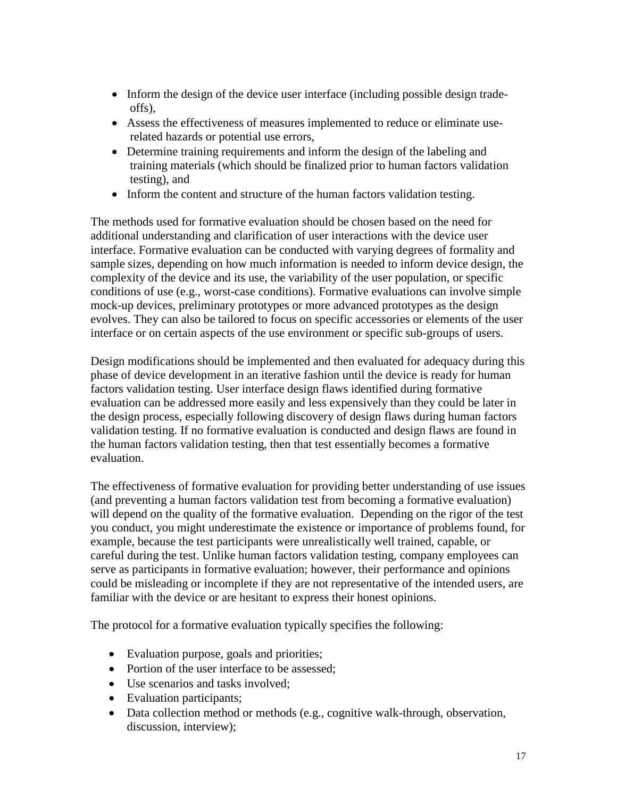- Inform the design of the device user interface (including possible design tradeoffs),
- Assess the effectiveness of measures implemented to reduce or eliminate userelated hazards or potential use errors,
- Determine training requirements and inform the design of the labeling and training materials (which should be finalized prior to human factors validation testing), and
- Inform the content and structure of the human factors validation testing.

The methods used for formative evaluation should be chosen based on the need for additional understanding and clarification of user interactions with the device user interface. Formative evaluation can be conducted with varying degrees of formality and sample sizes, depending on how much information is needed to inform device design, the complexity of the device and its use, the variability of the user population, or specific conditions of use (e.g., worst-case conditions). Formative evaluations can involve simple mock-up devices, preliminary prototypes or more advanced prototypes as the design evolves. They can also be tailored to focus on specific accessories or elements of the user interface or on certain aspects of the use environment or specific sub-groups of users.

Design modifications should be implemented and then evaluated for adequacy during this phase of device development in an iterative fashion until the device is ready for human factors validation testing. User interface design flaws identified during formative evaluation can be addressed more easily and less expensively than they could be later in the design process, especially following discovery of design flaws during human factors validation testing. If no formative evaluation is conducted and design flaws are found in the human factors validation testing, then that test essentially becomes a formative evaluation.

The effectiveness of formative evaluation for providing better understanding of use issues (and preventing a human factors validation test from becoming a formative evaluation) will depend on the quality of the formative evaluation. Depending on the rigor of the test you conduct, you might underestimate the existence or importance of problems found, for example, because the test participants were unrealistically well trained, capable, or careful during the test. Unlike human factors validation testing, company employees can serve as participants in formative evaluation; however, their performance and opinions could be misleading or incomplete if they are not representative of the intended users, are familiar with the device or are hesitant to express their honest opinions.

The protocol for a formative evaluation typically specifies the following:

- Evaluation purpose, goals and priorities;
- Portion of the user interface to be assessed;
- Use scenarios and tasks involved:
- Evaluation participants;
- Data collection method or methods (e.g., cognitive walk-through, observation, discussion, interview);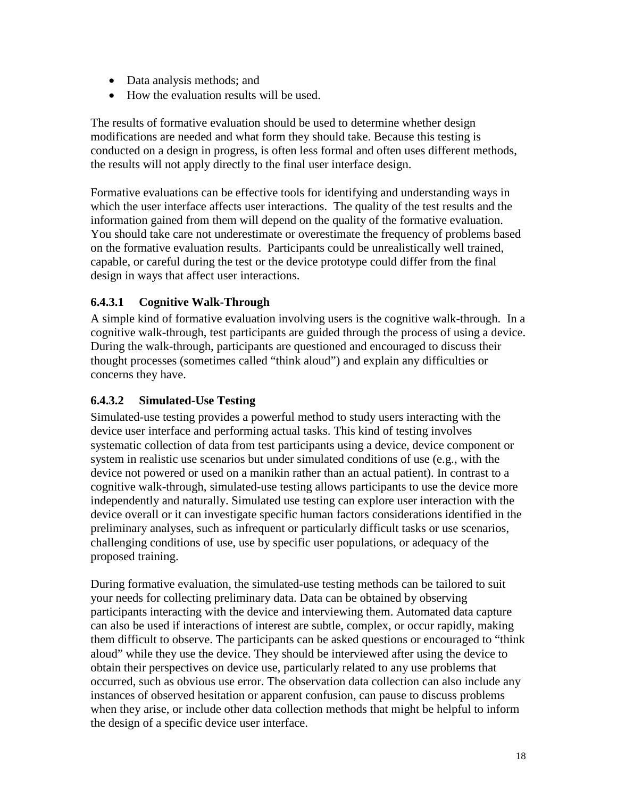- Data analysis methods; and
- How the evaluation results will be used.

The results of formative evaluation should be used to determine whether design modifications are needed and what form they should take. Because this testing is conducted on a design in progress, is often less formal and often uses different methods, the results will not apply directly to the final user interface design.

Formative evaluations can be effective tools for identifying and understanding ways in which the user interface affects user interactions. The quality of the test results and the information gained from them will depend on the quality of the formative evaluation. You should take care not underestimate or overestimate the frequency of problems based on the formative evaluation results. Participants could be unrealistically well trained, capable, or careful during the test or the device prototype could differ from the final design in ways that affect user interactions.

#### <span id="page-21-0"></span>**6.4.3.1 Cognitive Walk-Through**

A simple kind of formative evaluation involving users is the cognitive walk-through. In a cognitive walk-through, test participants are guided through the process of using a device. During the walk-through, participants are questioned and encouraged to discuss their thought processes (sometimes called "think aloud") and explain any difficulties or concerns they have.

#### <span id="page-21-1"></span>**6.4.3.2 Simulated-Use Testing**

Simulated-use testing provides a powerful method to study users interacting with the device user interface and performing actual tasks. This kind of testing involves systematic collection of data from test participants using a device, device component or system in realistic use scenarios but under simulated conditions of use (e.g., with the device not powered or used on a manikin rather than an actual patient). In contrast to a cognitive walk-through, simulated-use testing allows participants to use the device more independently and naturally. Simulated use testing can explore user interaction with the device overall or it can investigate specific human factors considerations identified in the preliminary analyses, such as infrequent or particularly difficult tasks or use scenarios, challenging conditions of use, use by specific user populations, or adequacy of the proposed training.

During formative evaluation, the simulated-use testing methods can be tailored to suit your needs for collecting preliminary data. Data can be obtained by observing participants interacting with the device and interviewing them. Automated data capture can also be used if interactions of interest are subtle, complex, or occur rapidly, making them difficult to observe. The participants can be asked questions or encouraged to "think aloud" while they use the device. They should be interviewed after using the device to obtain their perspectives on device use, particularly related to any use problems that occurred, such as obvious use error. The observation data collection can also include any instances of observed hesitation or apparent confusion, can pause to discuss problems when they arise, or include other data collection methods that might be helpful to inform the design of a specific device user interface.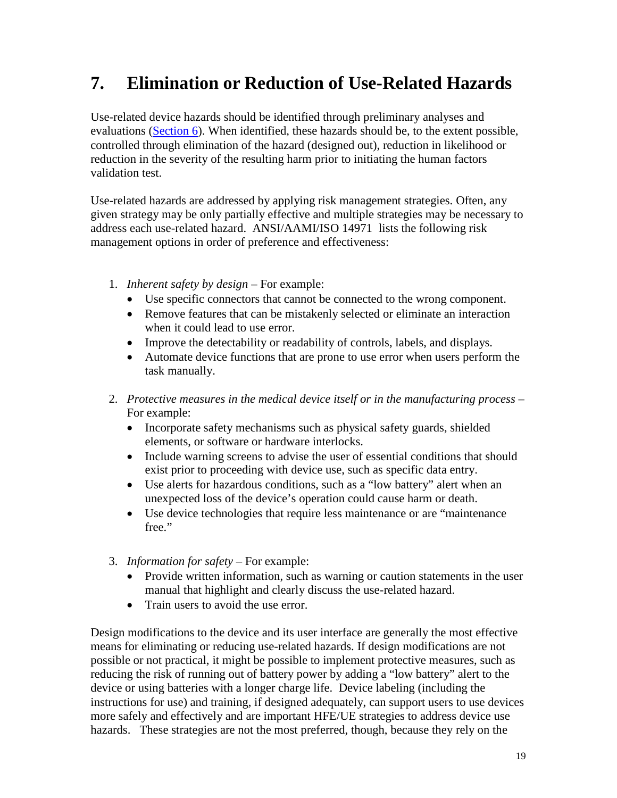## <span id="page-22-0"></span>**7. Elimination or Reduction of Use-Related Hazards**

Use-related device hazards should be identified through preliminary analyses and evaluations [\(Section 6\)](#page-14-1). When identified, these hazards should be, to the extent possible, controlled through elimination of the hazard (designed out), reduction in likelihood or reduction in the severity of the resulting harm prior to initiating the human factors validation test.

Use-related hazards are addressed by applying risk management strategies. Often, any given strategy may be only partially effective and multiple strategies may be necessary to address each use-related hazard. ANSI/AAMI/ISO 14971 lists the following risk management options in order of preference and effectiveness:

- 1. *Inherent safety by design* For example:
	- Use specific connectors that cannot be connected to the wrong component.
	- Remove features that can be mistakenly selected or eliminate an interaction when it could lead to use error.
	- Improve the detectability or readability of controls, labels, and displays.
	- Automate device functions that are prone to use error when users perform the task manually.
- 2. *Protective measures in the medical device itself or in the manufacturing process*  For example:
	- Incorporate safety mechanisms such as physical safety guards, shielded elements, or software or hardware interlocks.
	- Include warning screens to advise the user of essential conditions that should exist prior to proceeding with device use, such as specific data entry.
	- Use alerts for hazardous conditions, such as a "low battery" alert when an unexpected loss of the device's operation could cause harm or death.
	- Use device technologies that require less maintenance or are "maintenance free."
- 3. *Information for safety*  For example:
	- Provide written information, such as warning or caution statements in the user manual that highlight and clearly discuss the use-related hazard.
	- Train users to avoid the use error.

Design modifications to the device and its user interface are generally the most effective means for eliminating or reducing use-related hazards. If design modifications are not possible or not practical, it might be possible to implement protective measures, such as reducing the risk of running out of battery power by adding a "low battery" alert to the device or using batteries with a longer charge life. Device labeling (including the instructions for use) and training, if designed adequately, can support users to use devices more safely and effectively and are important HFE/UE strategies to address device use hazards. These strategies are not the most preferred, though, because they rely on the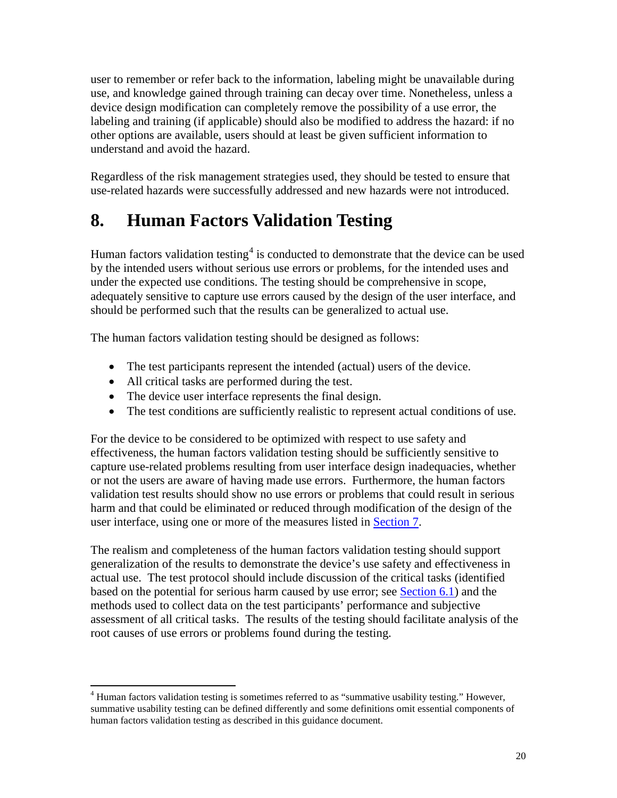user to remember or refer back to the information, labeling might be unavailable during use, and knowledge gained through training can decay over time. Nonetheless, unless a device design modification can completely remove the possibility of a use error, the labeling and training (if applicable) should also be modified to address the hazard: if no other options are available, users should at least be given sufficient information to understand and avoid the hazard.

Regardless of the risk management strategies used, they should be tested to ensure that use-related hazards were successfully addressed and new hazards were not introduced.

## <span id="page-23-0"></span>**8. Human Factors Validation Testing**

Human factors validation testing<sup>[4](#page-23-1)</sup> is conducted to demonstrate that the device can be used by the intended users without serious use errors or problems, for the intended uses and under the expected use conditions. The testing should be comprehensive in scope, adequately sensitive to capture use errors caused by the design of the user interface, and should be performed such that the results can be generalized to actual use.

The human factors validation testing should be designed as follows:

- The test participants represent the intended (actual) users of the device.
- All critical tasks are performed during the test.
- The device user interface represents the final design.
- The test conditions are sufficiently realistic to represent actual conditions of use.

For the device to be considered to be optimized with respect to use safety and effectiveness, the human factors validation testing should be sufficiently sensitive to capture use-related problems resulting from user interface design inadequacies, whether or not the users are aware of having made use errors. Furthermore, the human factors validation test results should show no use errors or problems that could result in serious harm and that could be eliminated or reduced through modification of the design of the user interface, using one or more of the measures listed in [Section 7.](#page-22-0)

The realism and completeness of the human factors validation testing should support generalization of the results to demonstrate the device's use safety and effectiveness in actual use. The test protocol should include discussion of the critical tasks (identified based on the potential for serious harm caused by use error; see [Section 6.1\)](#page-15-2) and the methods used to collect data on the test participants' performance and subjective assessment of all critical tasks. The results of the testing should facilitate analysis of the root causes of use errors or problems found during the testing.

<span id="page-23-1"></span> $\overline{a}$ <sup>4</sup> Human factors validation testing is sometimes referred to as "summative usability testing." However, summative usability testing can be defined differently and some definitions omit essential components of human factors validation testing as described in this guidance document.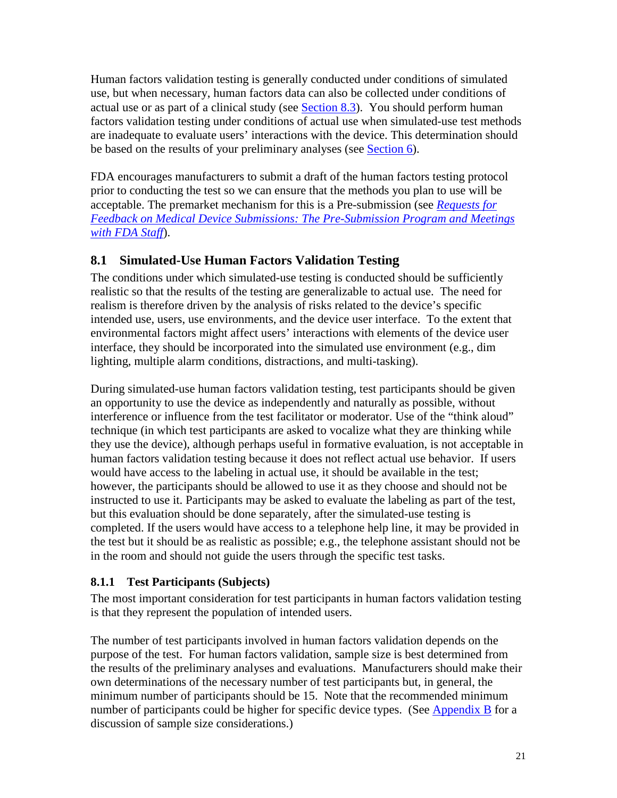Human factors validation testing is generally conducted under conditions of simulated use, but when necessary, human factors data can also be collected under conditions of actual use or as part of a clinical study (see [Section 8.3\)](#page-31-0). You should perform human factors validation testing under conditions of actual use when simulated-use test methods are inadequate to evaluate users' interactions with the device. This determination should be based on the results of your preliminary analyses (see [Section 6\)](#page-14-1).

FDA encourages manufacturers to submit a draft of the human factors testing protocol prior to conducting the test so we can ensure that the methods you plan to use will be acceptable. The premarket mechanism for this is a Pre-submission (see *[Requests for](http://www.fda.gov/downloads/medicaldevices/deviceregulationandguidance/guidancedocuments/ucm311176.pdf)  [Feedback on Medical Device Submissions: The Pre-Submission Program and Meetings](http://www.fda.gov/downloads/medicaldevices/deviceregulationandguidance/guidancedocuments/ucm311176.pdf)  [with FDA Staff](http://www.fda.gov/downloads/medicaldevices/deviceregulationandguidance/guidancedocuments/ucm311176.pdf)*).

#### <span id="page-24-0"></span>**8.1 Simulated-Use Human Factors Validation Testing**

The conditions under which simulated-use testing is conducted should be sufficiently realistic so that the results of the testing are generalizable to actual use. The need for realism is therefore driven by the analysis of risks related to the device's specific intended use, users, use environments, and the device user interface. To the extent that environmental factors might affect users' interactions with elements of the device user interface, they should be incorporated into the simulated use environment (e.g., dim lighting, multiple alarm conditions, distractions, and multi-tasking).

During simulated-use human factors validation testing, test participants should be given an opportunity to use the device as independently and naturally as possible, without interference or influence from the test facilitator or moderator. Use of the "think aloud" technique (in which test participants are asked to vocalize what they are thinking while they use the device), although perhaps useful in formative evaluation, is not acceptable in human factors validation testing because it does not reflect actual use behavior. If users would have access to the labeling in actual use, it should be available in the test; however, the participants should be allowed to use it as they choose and should not be instructed to use it. Participants may be asked to evaluate the labeling as part of the test, but this evaluation should be done separately, after the simulated-use testing is completed. If the users would have access to a telephone help line, it may be provided in the test but it should be as realistic as possible; e.g., the telephone assistant should not be in the room and should not guide the users through the specific test tasks.

#### <span id="page-24-1"></span>**8.1.1 Test Participants (Subjects)**

The most important consideration for test participants in human factors validation testing is that they represent the population of intended users.

The number of test participants involved in human factors validation depends on the purpose of the test. For human factors validation, sample size is best determined from the results of the preliminary analyses and evaluations. Manufacturers should make their own determinations of the necessary number of test participants but, in general, the minimum number of participants should be 15. Note that the recommended minimum number of participants could be higher for specific device types. (See [Appendix B](#page-37-0) for a discussion of sample size considerations.)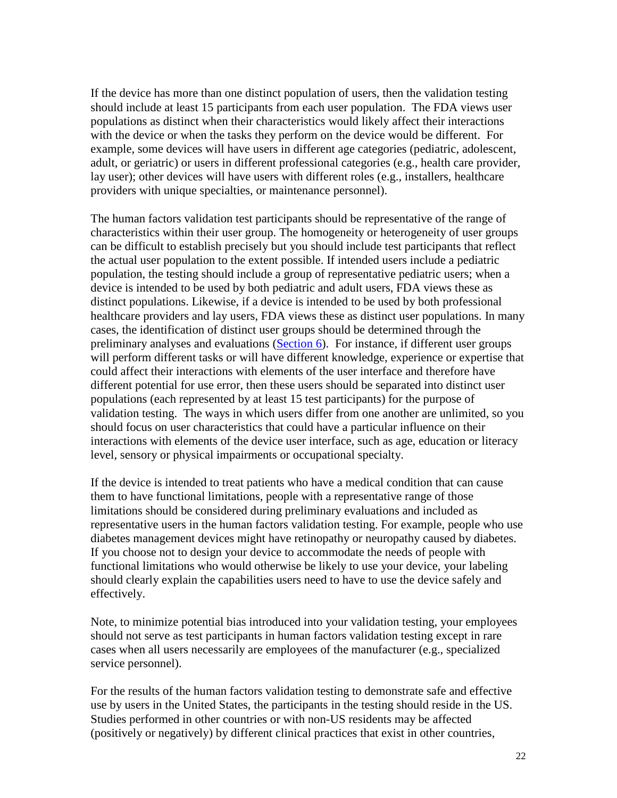If the device has more than one distinct population of users, then the validation testing should include at least 15 participants from each user population. The FDA views user populations as distinct when their characteristics would likely affect their interactions with the device or when the tasks they perform on the device would be different. For example, some devices will have users in different age categories (pediatric, adolescent, adult, or geriatric) or users in different professional categories (e.g., health care provider, lay user); other devices will have users with different roles (e.g., installers, healthcare providers with unique specialties, or maintenance personnel).

The human factors validation test participants should be representative of the range of characteristics within their user group. The homogeneity or heterogeneity of user groups can be difficult to establish precisely but you should include test participants that reflect the actual user population to the extent possible. If intended users include a pediatric population, the testing should include a group of representative pediatric users; when a device is intended to be used by both pediatric and adult users, FDA views these as distinct populations. Likewise, if a device is intended to be used by both professional healthcare providers and lay users, FDA views these as distinct user populations. In many cases, the identification of distinct user groups should be determined through the preliminary analyses and evaluations [\(Section 6\)](#page-14-1). For instance, if different user groups will perform different tasks or will have different knowledge, experience or expertise that could affect their interactions with elements of the user interface and therefore have different potential for use error, then these users should be separated into distinct user populations (each represented by at least 15 test participants) for the purpose of validation testing. The ways in which users differ from one another are unlimited, so you should focus on user characteristics that could have a particular influence on their interactions with elements of the device user interface, such as age, education or literacy level, sensory or physical impairments or occupational specialty.

If the device is intended to treat patients who have a medical condition that can cause them to have functional limitations, people with a representative range of those limitations should be considered during preliminary evaluations and included as representative users in the human factors validation testing. For example, people who use diabetes management devices might have retinopathy or neuropathy caused by diabetes. If you choose not to design your device to accommodate the needs of people with functional limitations who would otherwise be likely to use your device, your labeling should clearly explain the capabilities users need to have to use the device safely and effectively.

Note, to minimize potential bias introduced into your validation testing, your employees should not serve as test participants in human factors validation testing except in rare cases when all users necessarily are employees of the manufacturer (e.g., specialized service personnel).

For the results of the human factors validation testing to demonstrate safe and effective use by users in the United States, the participants in the testing should reside in the US. Studies performed in other countries or with non-US residents may be affected (positively or negatively) by different clinical practices that exist in other countries,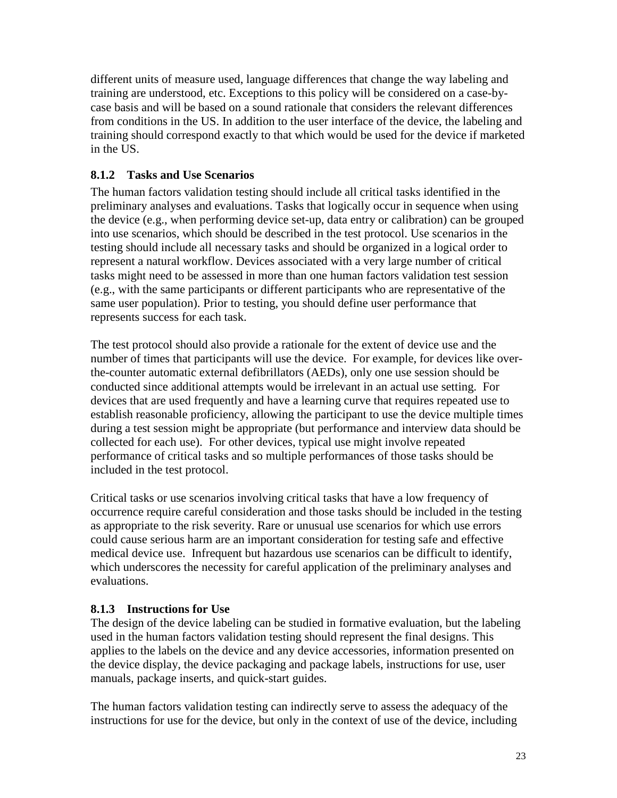different units of measure used, language differences that change the way labeling and training are understood, etc. Exceptions to this policy will be considered on a case-bycase basis and will be based on a sound rationale that considers the relevant differences from conditions in the US. In addition to the user interface of the device, the labeling and training should correspond exactly to that which would be used for the device if marketed in the US.

#### <span id="page-26-0"></span>**8.1.2 Tasks and Use Scenarios**

The human factors validation testing should include all critical tasks identified in the preliminary analyses and evaluations. Tasks that logically occur in sequence when using the device (e.g., when performing device set-up, data entry or calibration) can be grouped into use scenarios, which should be described in the test protocol. Use scenarios in the testing should include all necessary tasks and should be organized in a logical order to represent a natural workflow. Devices associated with a very large number of critical tasks might need to be assessed in more than one human factors validation test session (e.g., with the same participants or different participants who are representative of the same user population). Prior to testing, you should define user performance that represents success for each task.

The test protocol should also provide a rationale for the extent of device use and the number of times that participants will use the device. For example, for devices like overthe-counter automatic external defibrillators (AEDs), only one use session should be conducted since additional attempts would be irrelevant in an actual use setting. For devices that are used frequently and have a learning curve that requires repeated use to establish reasonable proficiency, allowing the participant to use the device multiple times during a test session might be appropriate (but performance and interview data should be collected for each use). For other devices, typical use might involve repeated performance of critical tasks and so multiple performances of those tasks should be included in the test protocol.

Critical tasks or use scenarios involving critical tasks that have a low frequency of occurrence require careful consideration and those tasks should be included in the testing as appropriate to the risk severity. Rare or unusual use scenarios for which use errors could cause serious harm are an important consideration for testing safe and effective medical device use. Infrequent but hazardous use scenarios can be difficult to identify, which underscores the necessity for careful application of the preliminary analyses and evaluations.

#### <span id="page-26-1"></span>**8.1.3 Instructions for Use**

The design of the device labeling can be studied in formative evaluation, but the labeling used in the human factors validation testing should represent the final designs. This applies to the labels on the device and any device accessories, information presented on the device display, the device packaging and package labels, instructions for use, user manuals, package inserts, and quick-start guides.

The human factors validation testing can indirectly serve to assess the adequacy of the instructions for use for the device, but only in the context of use of the device, including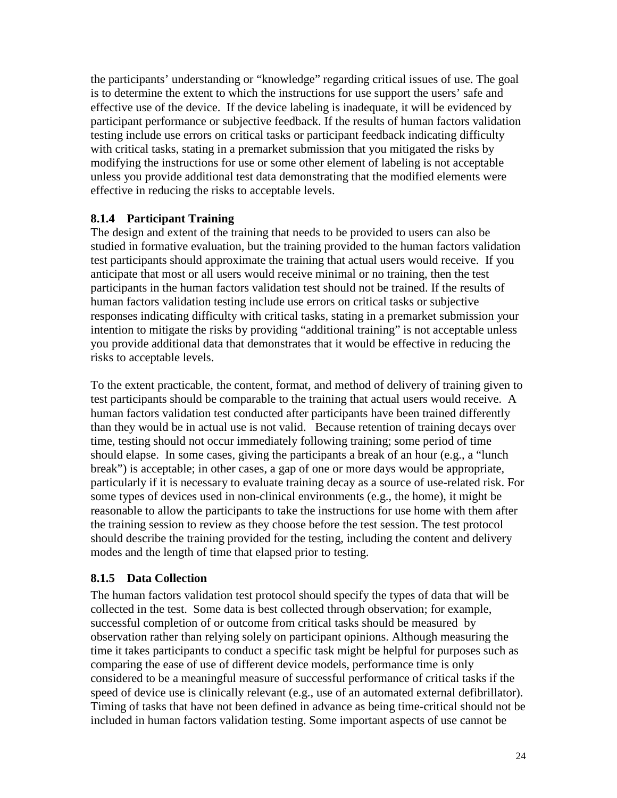the participants' understanding or "knowledge" regarding critical issues of use. The goal is to determine the extent to which the instructions for use support the users' safe and effective use of the device. If the device labeling is inadequate, it will be evidenced by participant performance or subjective feedback. If the results of human factors validation testing include use errors on critical tasks or participant feedback indicating difficulty with critical tasks, stating in a premarket submission that you mitigated the risks by modifying the instructions for use or some other element of labeling is not acceptable unless you provide additional test data demonstrating that the modified elements were effective in reducing the risks to acceptable levels.

#### <span id="page-27-0"></span>**8.1.4 Participant Training**

The design and extent of the training that needs to be provided to users can also be studied in formative evaluation, but the training provided to the human factors validation test participants should approximate the training that actual users would receive. If you anticipate that most or all users would receive minimal or no training, then the test participants in the human factors validation test should not be trained. If the results of human factors validation testing include use errors on critical tasks or subjective responses indicating difficulty with critical tasks, stating in a premarket submission your intention to mitigate the risks by providing "additional training" is not acceptable unless you provide additional data that demonstrates that it would be effective in reducing the risks to acceptable levels.

To the extent practicable, the content, format, and method of delivery of training given to test participants should be comparable to the training that actual users would receive. A human factors validation test conducted after participants have been trained differently than they would be in actual use is not valid. Because retention of training decays over time, testing should not occur immediately following training; some period of time should elapse. In some cases, giving the participants a break of an hour (e.g., a "lunch break") is acceptable; in other cases, a gap of one or more days would be appropriate, particularly if it is necessary to evaluate training decay as a source of use-related risk. For some types of devices used in non-clinical environments (e.g., the home), it might be reasonable to allow the participants to take the instructions for use home with them after the training session to review as they choose before the test session. The test protocol should describe the training provided for the testing, including the content and delivery modes and the length of time that elapsed prior to testing.

#### <span id="page-27-1"></span>**8.1.5 Data Collection**

The human factors validation test protocol should specify the types of data that will be collected in the test. Some data is best collected through observation; for example, successful completion of or outcome from critical tasks should be measured by observation rather than relying solely on participant opinions. Although measuring the time it takes participants to conduct a specific task might be helpful for purposes such as comparing the ease of use of different device models, performance time is only considered to be a meaningful measure of successful performance of critical tasks if the speed of device use is clinically relevant (e.g., use of an automated external defibrillator). Timing of tasks that have not been defined in advance as being time-critical should not be included in human factors validation testing. Some important aspects of use cannot be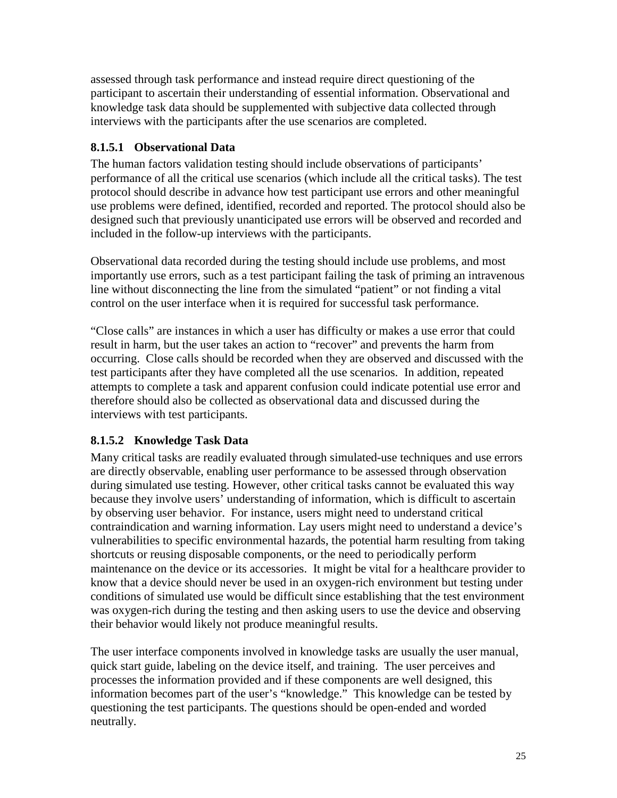assessed through task performance and instead require direct questioning of the participant to ascertain their understanding of essential information. Observational and knowledge task data should be supplemented with subjective data collected through interviews with the participants after the use scenarios are completed.

#### <span id="page-28-0"></span>**8.1.5.1 Observational Data**

The human factors validation testing should include observations of participants' performance of all the critical use scenarios (which include all the critical tasks). The test protocol should describe in advance how test participant use errors and other meaningful use problems were defined, identified, recorded and reported. The protocol should also be designed such that previously unanticipated use errors will be observed and recorded and included in the follow-up interviews with the participants.

Observational data recorded during the testing should include use problems, and most importantly use errors, such as a test participant failing the task of priming an intravenous line without disconnecting the line from the simulated "patient" or not finding a vital control on the user interface when it is required for successful task performance.

"Close calls" are instances in which a user has difficulty or makes a use error that could result in harm, but the user takes an action to "recover" and prevents the harm from occurring. Close calls should be recorded when they are observed and discussed with the test participants after they have completed all the use scenarios. In addition, repeated attempts to complete a task and apparent confusion could indicate potential use error and therefore should also be collected as observational data and discussed during the interviews with test participants.

#### <span id="page-28-1"></span>**8.1.5.2 Knowledge Task Data**

Many critical tasks are readily evaluated through simulated-use techniques and use errors are directly observable, enabling user performance to be assessed through observation during simulated use testing. However, other critical tasks cannot be evaluated this way because they involve users' understanding of information, which is difficult to ascertain by observing user behavior. For instance, users might need to understand critical contraindication and warning information. Lay users might need to understand a device's vulnerabilities to specific environmental hazards, the potential harm resulting from taking shortcuts or reusing disposable components, or the need to periodically perform maintenance on the device or its accessories. It might be vital for a healthcare provider to know that a device should never be used in an oxygen-rich environment but testing under conditions of simulated use would be difficult since establishing that the test environment was oxygen-rich during the testing and then asking users to use the device and observing their behavior would likely not produce meaningful results.

The user interface components involved in knowledge tasks are usually the user manual, quick start guide, labeling on the device itself, and training. The user perceives and processes the information provided and if these components are well designed, this information becomes part of the user's "knowledge." This knowledge can be tested by questioning the test participants. The questions should be open-ended and worded neutrally.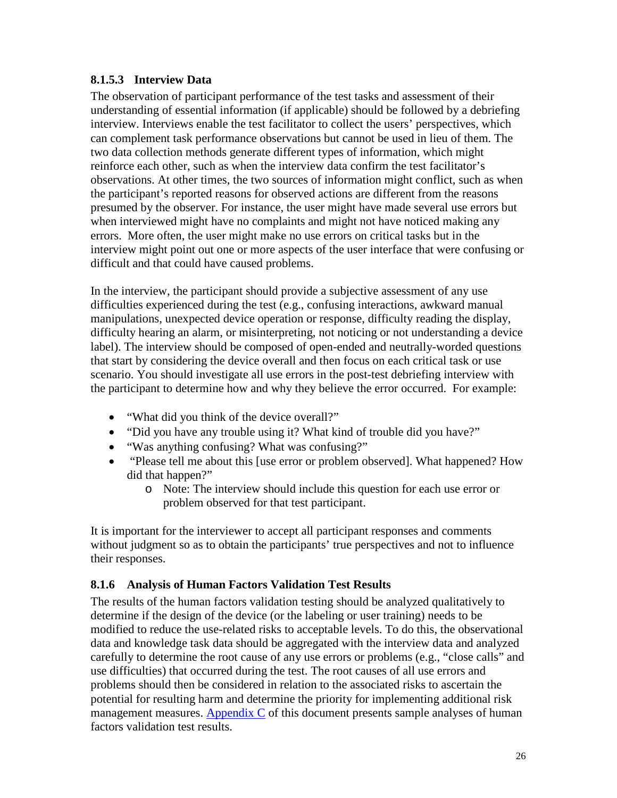#### <span id="page-29-0"></span>**8.1.5.3 Interview Data**

The observation of participant performance of the test tasks and assessment of their understanding of essential information (if applicable) should be followed by a debriefing interview. Interviews enable the test facilitator to collect the users' perspectives, which can complement task performance observations but cannot be used in lieu of them. The two data collection methods generate different types of information, which might reinforce each other, such as when the interview data confirm the test facilitator's observations. At other times, the two sources of information might conflict, such as when the participant's reported reasons for observed actions are different from the reasons presumed by the observer. For instance, the user might have made several use errors but when interviewed might have no complaints and might not have noticed making any errors. More often, the user might make no use errors on critical tasks but in the interview might point out one or more aspects of the user interface that were confusing or difficult and that could have caused problems.

In the interview, the participant should provide a subjective assessment of any use difficulties experienced during the test (e.g., confusing interactions, awkward manual manipulations, unexpected device operation or response, difficulty reading the display, difficulty hearing an alarm, or misinterpreting, not noticing or not understanding a device label). The interview should be composed of open-ended and neutrally-worded questions that start by considering the device overall and then focus on each critical task or use scenario. You should investigate all use errors in the post-test debriefing interview with the participant to determine how and why they believe the error occurred. For example:

- "What did you think of the device overall?"
- "Did you have any trouble using it? What kind of trouble did you have?"
- "Was anything confusing? What was confusing?"
- "Please tell me about this [use error or problem observed]. What happened? How did that happen?"
	- o Note: The interview should include this question for each use error or problem observed for that test participant.

It is important for the interviewer to accept all participant responses and comments without judgment so as to obtain the participants' true perspectives and not to influence their responses.

#### <span id="page-29-1"></span>**8.1.6 Analysis of Human Factors Validation Test Results**

The results of the human factors validation testing should be analyzed qualitatively to determine if the design of the device (or the labeling or user training) needs to be modified to reduce the use-related risks to acceptable levels. To do this, the observational data and knowledge task data should be aggregated with the interview data and analyzed carefully to determine the root cause of any use errors or problems (e.g., "close calls" and use difficulties) that occurred during the test. The root causes of all use errors and problems should then be considered in relation to the associated risks to ascertain the potential for resulting harm and determine the priority for implementing additional risk management measures. Appendix  $C$  of this document presents sample analyses of human factors validation test results.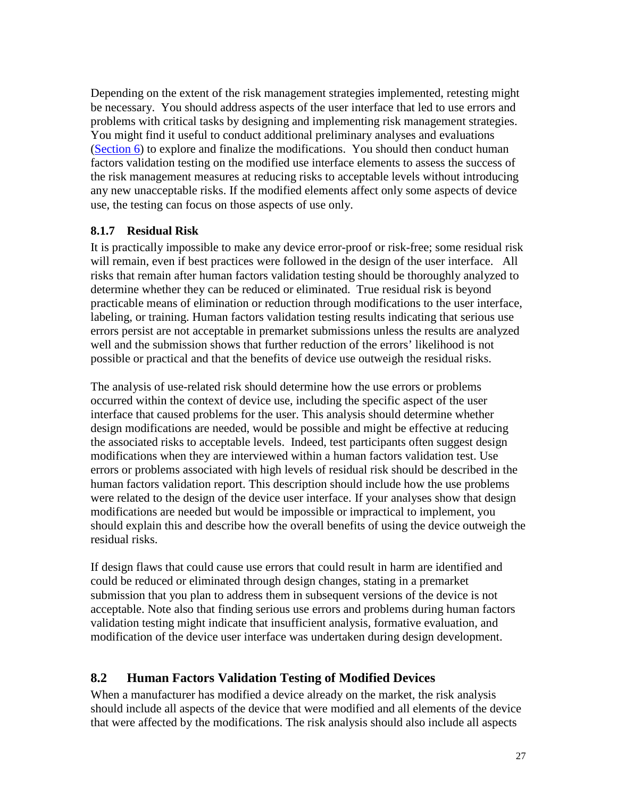Depending on the extent of the risk management strategies implemented, retesting might be necessary. You should address aspects of the user interface that led to use errors and problems with critical tasks by designing and implementing risk management strategies. You might find it useful to conduct additional preliminary analyses and evaluations [\(Section 6\)](#page-14-1) to explore and finalize the modifications. You should then conduct human factors validation testing on the modified use interface elements to assess the success of the risk management measures at reducing risks to acceptable levels without introducing any new unacceptable risks. If the modified elements affect only some aspects of device use, the testing can focus on those aspects of use only.

#### <span id="page-30-0"></span>**8.1.7 Residual Risk**

It is practically impossible to make any device error-proof or risk-free; some residual risk will remain, even if best practices were followed in the design of the user interface. All risks that remain after human factors validation testing should be thoroughly analyzed to determine whether they can be reduced or eliminated. True residual risk is beyond practicable means of elimination or reduction through modifications to the user interface, labeling, or training. Human factors validation testing results indicating that serious use errors persist are not acceptable in premarket submissions unless the results are analyzed well and the submission shows that further reduction of the errors' likelihood is not possible or practical and that the benefits of device use outweigh the residual risks.

The analysis of use-related risk should determine how the use errors or problems occurred within the context of device use, including the specific aspect of the user interface that caused problems for the user. This analysis should determine whether design modifications are needed, would be possible and might be effective at reducing the associated risks to acceptable levels. Indeed, test participants often suggest design modifications when they are interviewed within a human factors validation test. Use errors or problems associated with high levels of residual risk should be described in the human factors validation report. This description should include how the use problems were related to the design of the device user interface. If your analyses show that design modifications are needed but would be impossible or impractical to implement, you should explain this and describe how the overall benefits of using the device outweigh the residual risks.

If design flaws that could cause use errors that could result in harm are identified and could be reduced or eliminated through design changes, stating in a premarket submission that you plan to address them in subsequent versions of the device is not acceptable. Note also that finding serious use errors and problems during human factors validation testing might indicate that insufficient analysis, formative evaluation, and modification of the device user interface was undertaken during design development.

#### <span id="page-30-1"></span>**8.2 Human Factors Validation Testing of Modified Devices**

When a manufacturer has modified a device already on the market, the risk analysis should include all aspects of the device that were modified and all elements of the device that were affected by the modifications. The risk analysis should also include all aspects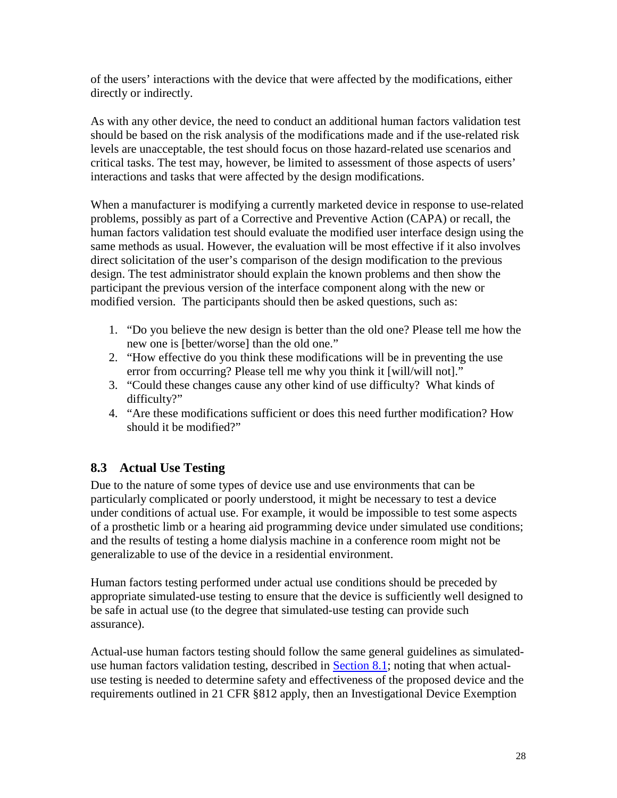of the users' interactions with the device that were affected by the modifications, either directly or indirectly.

As with any other device, the need to conduct an additional human factors validation test should be based on the risk analysis of the modifications made and if the use-related risk levels are unacceptable, the test should focus on those hazard-related use scenarios and critical tasks. The test may, however, be limited to assessment of those aspects of users' interactions and tasks that were affected by the design modifications.

When a manufacturer is modifying a currently marketed device in response to use-related problems, possibly as part of a Corrective and Preventive Action (CAPA) or recall, the human factors validation test should evaluate the modified user interface design using the same methods as usual. However, the evaluation will be most effective if it also involves direct solicitation of the user's comparison of the design modification to the previous design. The test administrator should explain the known problems and then show the participant the previous version of the interface component along with the new or modified version. The participants should then be asked questions, such as:

- 1. "Do you believe the new design is better than the old one? Please tell me how the new one is [better/worse] than the old one."
- 2. "How effective do you think these modifications will be in preventing the use error from occurring? Please tell me why you think it [will/will not]."
- 3. "Could these changes cause any other kind of use difficulty? What kinds of difficulty?"
- 4. "Are these modifications sufficient or does this need further modification? How should it be modified?"

#### <span id="page-31-0"></span>**8.3 Actual Use Testing**

Due to the nature of some types of device use and use environments that can be particularly complicated or poorly understood, it might be necessary to test a device under conditions of actual use. For example, it would be impossible to test some aspects of a prosthetic limb or a hearing aid programming device under simulated use conditions; and the results of testing a home dialysis machine in a conference room might not be generalizable to use of the device in a residential environment.

Human factors testing performed under actual use conditions should be preceded by appropriate simulated-use testing to ensure that the device is sufficiently well designed to be safe in actual use (to the degree that simulated-use testing can provide such assurance).

Actual-use human factors testing should follow the same general guidelines as simulated-use human factors validation testing, described in [Section 8.1;](#page-24-0) noting that when actualuse testing is needed to determine safety and effectiveness of the proposed device and the requirements outlined in 21 CFR §812 apply, then an Investigational Device Exemption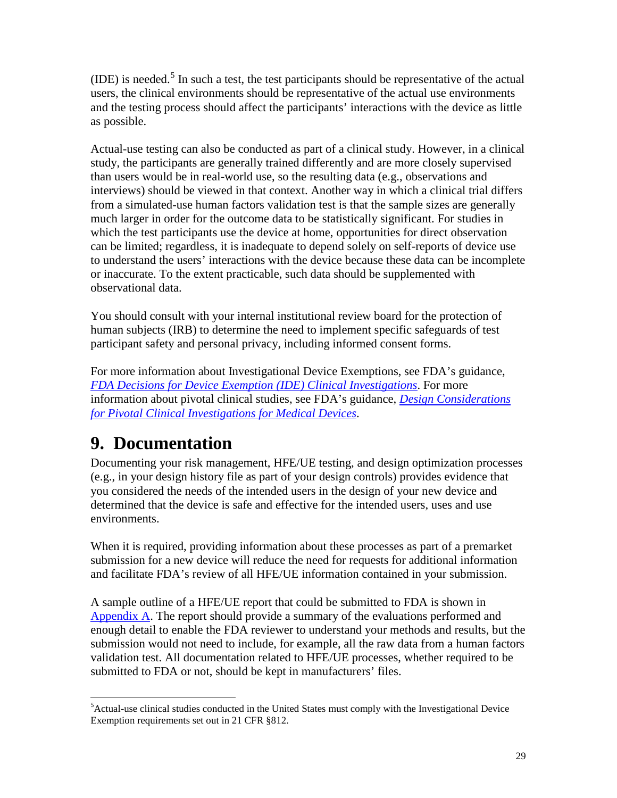(IDE) is needed.<sup>[5](#page-32-1)</sup> In such a test, the test participants should be representative of the actual users, the clinical environments should be representative of the actual use environments and the testing process should affect the participants' interactions with the device as little as possible.

Actual-use testing can also be conducted as part of a clinical study. However, in a clinical study, the participants are generally trained differently and are more closely supervised than users would be in real-world use, so the resulting data (e.g., observations and interviews) should be viewed in that context. Another way in which a clinical trial differs from a simulated-use human factors validation test is that the sample sizes are generally much larger in order for the outcome data to be statistically significant. For studies in which the test participants use the device at home, opportunities for direct observation can be limited; regardless, it is inadequate to depend solely on self-reports of device use to understand the users' interactions with the device because these data can be incomplete or inaccurate. To the extent practicable, such data should be supplemented with observational data.

You should consult with your internal institutional review board for the protection of human subjects (IRB) to determine the need to implement specific safeguards of test participant safety and personal privacy, including informed consent forms.

For more information about Investigational Device Exemptions, see FDA's guidance, *[FDA Decisions for Device Exemption \(IDE\) Clinical Investigations](http://www.fda.gov/downloads/MedicalDevices/DeviceRegulationandGuidance/GuidanceDocuments/UCM279107.pdf)*. For more information about pivotal clinical studies, see FDA's guidance, *[Design Considerations](http://www.fda.gov/medicaldevices/deviceregulationandguidance/guidancedocuments/ucm373750.htm)  [for Pivotal Clinical Investigations for Medical Devices](http://www.fda.gov/medicaldevices/deviceregulationandguidance/guidancedocuments/ucm373750.htm)*.

## <span id="page-32-0"></span>**9. Documentation**

Documenting your risk management, HFE/UE testing, and design optimization processes (e.g., in your design history file as part of your design controls) provides evidence that you considered the needs of the intended users in the design of your new device and determined that the device is safe and effective for the intended users, uses and use environments.

When it is required, providing information about these processes as part of a premarket submission for a new device will reduce the need for requests for additional information and facilitate FDA's review of all HFE/UE information contained in your submission.

A sample outline of a HFE/UE report that could be submitted to FDA is shown in [Appendix A.](#page-34-0) The report should provide a summary of the evaluations performed and enough detail to enable the FDA reviewer to understand your methods and results, but the submission would not need to include, for example, all the raw data from a human factors validation test. All documentation related to HFE/UE processes, whether required to be submitted to FDA or not, should be kept in manufacturers' files.

<span id="page-32-1"></span> $\overline{a}$ <sup>5</sup> Actual-use clinical studies conducted in the United States must comply with the Investigational Device Exemption requirements set out in 21 CFR §812.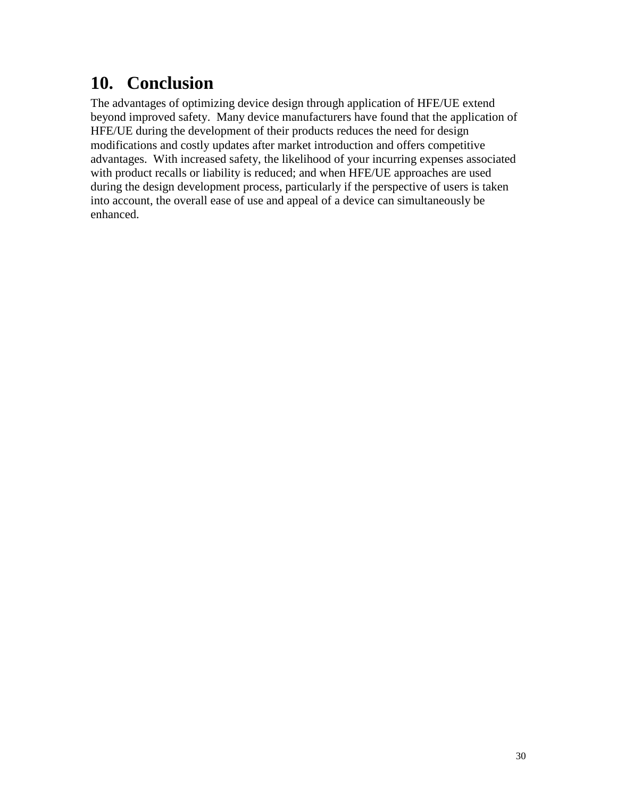## <span id="page-33-0"></span>**10. Conclusion**

The advantages of optimizing device design through application of HFE/UE extend beyond improved safety. Many device manufacturers have found that the application of HFE/UE during the development of their products reduces the need for design modifications and costly updates after market introduction and offers competitive advantages. With increased safety, the likelihood of your incurring expenses associated with product recalls or liability is reduced; and when HFE/UE approaches are used during the design development process, particularly if the perspective of users is taken into account, the overall ease of use and appeal of a device can simultaneously be enhanced.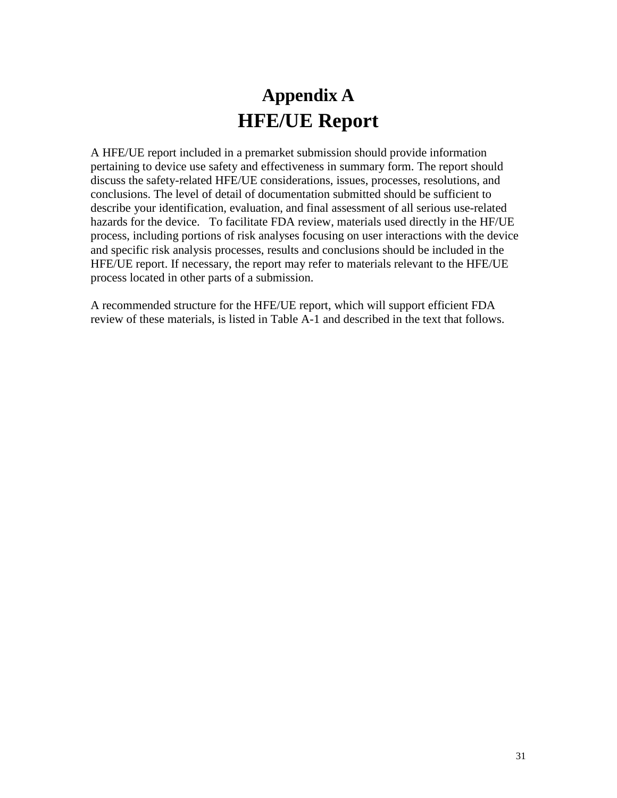## **Appendix A HFE/UE Report**

<span id="page-34-0"></span>A HFE/UE report included in a premarket submission should provide information pertaining to device use safety and effectiveness in summary form. The report should discuss the safety-related HFE/UE considerations, issues, processes, resolutions, and conclusions. The level of detail of documentation submitted should be sufficient to describe your identification, evaluation, and final assessment of all serious use-related hazards for the device. To facilitate FDA review, materials used directly in the HF/UE process, including portions of risk analyses focusing on user interactions with the device and specific risk analysis processes, results and conclusions should be included in the HFE/UE report. If necessary, the report may refer to materials relevant to the HFE/UE process located in other parts of a submission.

A recommended structure for the HFE/UE report, which will support efficient FDA review of these materials, is listed in Table A-1 and described in the text that follows.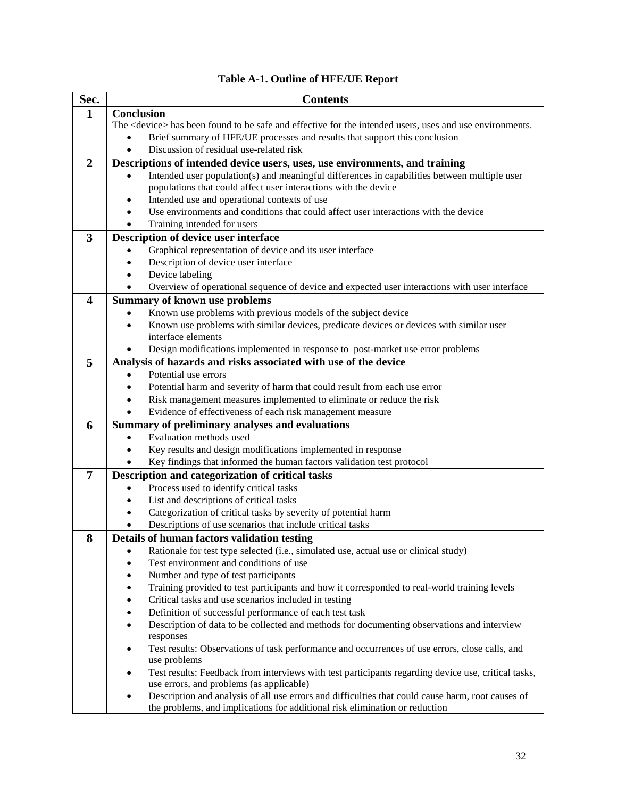| Sec.           | <b>Contents</b>                                                                                                  |  |  |  |  |  |  |
|----------------|------------------------------------------------------------------------------------------------------------------|--|--|--|--|--|--|
| $\mathbf{1}$   | <b>Conclusion</b>                                                                                                |  |  |  |  |  |  |
|                | The <device> has been found to be safe and effective for the intended users, uses and use environments.</device> |  |  |  |  |  |  |
|                | Brief summary of HFE/UE processes and results that support this conclusion                                       |  |  |  |  |  |  |
|                | Discussion of residual use-related risk<br>$\bullet$                                                             |  |  |  |  |  |  |
| $\overline{2}$ | Descriptions of intended device users, uses, use environments, and training                                      |  |  |  |  |  |  |
|                | Intended user population(s) and meaningful differences in capabilities between multiple user<br>$\bullet$        |  |  |  |  |  |  |
|                | populations that could affect user interactions with the device                                                  |  |  |  |  |  |  |
|                | Intended use and operational contexts of use<br>٠                                                                |  |  |  |  |  |  |
|                | Use environments and conditions that could affect user interactions with the device                              |  |  |  |  |  |  |
|                | Training intended for users                                                                                      |  |  |  |  |  |  |
| 3              | Description of device user interface                                                                             |  |  |  |  |  |  |
|                | Graphical representation of device and its user interface                                                        |  |  |  |  |  |  |
|                | Description of device user interface                                                                             |  |  |  |  |  |  |
|                | Device labeling                                                                                                  |  |  |  |  |  |  |
|                | Overview of operational sequence of device and expected user interactions with user interface                    |  |  |  |  |  |  |
| 4              | <b>Summary of known use problems</b>                                                                             |  |  |  |  |  |  |
|                | Known use problems with previous models of the subject device<br>$\bullet$                                       |  |  |  |  |  |  |
|                | Known use problems with similar devices, predicate devices or devices with similar user<br>٠                     |  |  |  |  |  |  |
|                | interface elements                                                                                               |  |  |  |  |  |  |
|                | Design modifications implemented in response to post-market use error problems                                   |  |  |  |  |  |  |
| 5              | Analysis of hazards and risks associated with use of the device                                                  |  |  |  |  |  |  |
|                | Potential use errors<br>$\bullet$                                                                                |  |  |  |  |  |  |
|                | Potential harm and severity of harm that could result from each use error<br>$\bullet$                           |  |  |  |  |  |  |
|                | Risk management measures implemented to eliminate or reduce the risk<br>$\bullet$                                |  |  |  |  |  |  |
|                | Evidence of effectiveness of each risk management measure                                                        |  |  |  |  |  |  |
| 6              | <b>Summary of preliminary analyses and evaluations</b><br>Evaluation methods used                                |  |  |  |  |  |  |
|                | Key results and design modifications implemented in response                                                     |  |  |  |  |  |  |
|                | Key findings that informed the human factors validation test protocol                                            |  |  |  |  |  |  |
| $\overline{7}$ | Description and categorization of critical tasks                                                                 |  |  |  |  |  |  |
|                | Process used to identify critical tasks<br>$\bullet$                                                             |  |  |  |  |  |  |
|                | List and descriptions of critical tasks                                                                          |  |  |  |  |  |  |
|                | Categorization of critical tasks by severity of potential harm                                                   |  |  |  |  |  |  |
|                | Descriptions of use scenarios that include critical tasks                                                        |  |  |  |  |  |  |
| 8              | Details of human factors validation testing                                                                      |  |  |  |  |  |  |
|                | Rationale for test type selected (i.e., simulated use, actual use or clinical study)                             |  |  |  |  |  |  |
|                | Test environment and conditions of use                                                                           |  |  |  |  |  |  |
|                | Number and type of test participants                                                                             |  |  |  |  |  |  |
|                | Training provided to test participants and how it corresponded to real-world training levels                     |  |  |  |  |  |  |
|                | Critical tasks and use scenarios included in testing                                                             |  |  |  |  |  |  |
|                | Definition of successful performance of each test task                                                           |  |  |  |  |  |  |
|                | Description of data to be collected and methods for documenting observations and interview                       |  |  |  |  |  |  |
|                | responses                                                                                                        |  |  |  |  |  |  |
|                | Test results: Observations of task performance and occurrences of use errors, close calls, and                   |  |  |  |  |  |  |
|                | use problems                                                                                                     |  |  |  |  |  |  |
|                | Test results: Feedback from interviews with test participants regarding device use, critical tasks,              |  |  |  |  |  |  |
|                | use errors, and problems (as applicable)                                                                         |  |  |  |  |  |  |
|                | Description and analysis of all use errors and difficulties that could cause harm, root causes of                |  |  |  |  |  |  |
|                | the problems, and implications for additional risk elimination or reduction                                      |  |  |  |  |  |  |

#### **Table A-1. Outline of HFE/UE Report**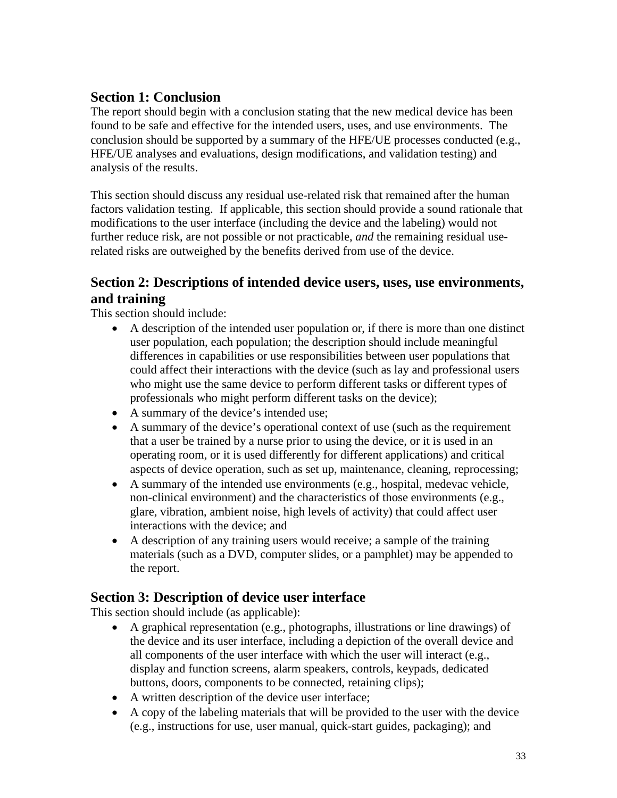#### **Section 1: Conclusion**

The report should begin with a conclusion stating that the new medical device has been found to be safe and effective for the intended users, uses, and use environments. The conclusion should be supported by a summary of the HFE/UE processes conducted (e.g., HFE/UE analyses and evaluations, design modifications, and validation testing) and analysis of the results.

This section should discuss any residual use-related risk that remained after the human factors validation testing. If applicable, this section should provide a sound rationale that modifications to the user interface (including the device and the labeling) would not further reduce risk, are not possible or not practicable, *and* the remaining residual userelated risks are outweighed by the benefits derived from use of the device.

#### **Section 2: Descriptions of intended device users, uses, use environments, and training**

This section should include:

- A description of the intended user population or, if there is more than one distinct user population, each population; the description should include meaningful differences in capabilities or use responsibilities between user populations that could affect their interactions with the device (such as lay and professional users who might use the same device to perform different tasks or different types of professionals who might perform different tasks on the device);
- A summary of the device's intended use:
- A summary of the device's operational context of use (such as the requirement that a user be trained by a nurse prior to using the device, or it is used in an operating room, or it is used differently for different applications) and critical aspects of device operation, such as set up, maintenance, cleaning, reprocessing;
- A summary of the intended use environments (e.g., hospital, medevac vehicle, non-clinical environment) and the characteristics of those environments (e.g., glare, vibration, ambient noise, high levels of activity) that could affect user interactions with the device; and
- A description of any training users would receive; a sample of the training materials (such as a DVD, computer slides, or a pamphlet) may be appended to the report.

#### **Section 3: Description of device user interface**

This section should include (as applicable):

- A graphical representation (e.g., photographs, illustrations or line drawings) of the device and its user interface, including a depiction of the overall device and all components of the user interface with which the user will interact (e.g., display and function screens, alarm speakers, controls, keypads, dedicated buttons, doors, components to be connected, retaining clips);
- A written description of the device user interface;
- A copy of the labeling materials that will be provided to the user with the device (e.g., instructions for use, user manual, quick-start guides, packaging); and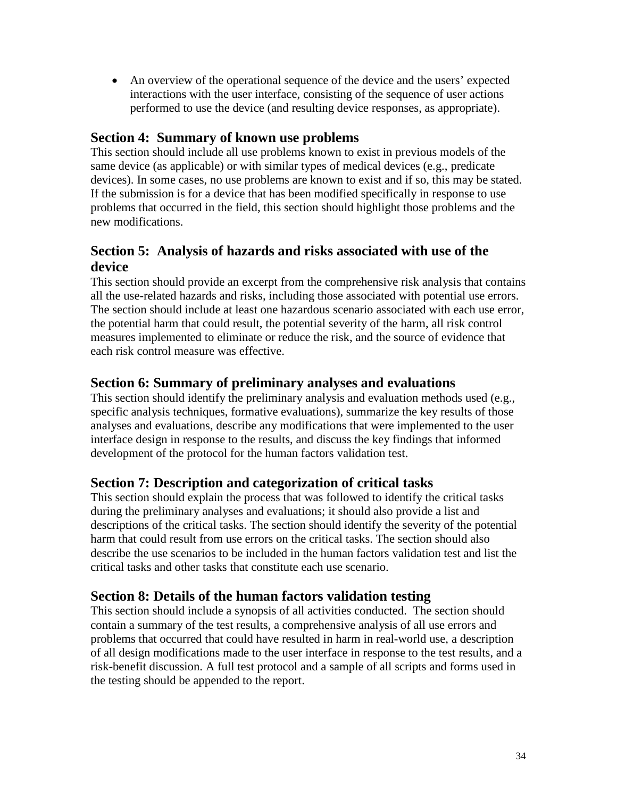• An overview of the operational sequence of the device and the users' expected interactions with the user interface, consisting of the sequence of user actions performed to use the device (and resulting device responses, as appropriate).

#### **Section 4: Summary of known use problems**

This section should include all use problems known to exist in previous models of the same device (as applicable) or with similar types of medical devices (e.g., predicate devices). In some cases, no use problems are known to exist and if so, this may be stated. If the submission is for a device that has been modified specifically in response to use problems that occurred in the field, this section should highlight those problems and the new modifications.

#### **Section 5: Analysis of hazards and risks associated with use of the device**

This section should provide an excerpt from the comprehensive risk analysis that contains all the use-related hazards and risks, including those associated with potential use errors. The section should include at least one hazardous scenario associated with each use error, the potential harm that could result, the potential severity of the harm, all risk control measures implemented to eliminate or reduce the risk, and the source of evidence that each risk control measure was effective.

#### **Section 6: Summary of preliminary analyses and evaluations**

This section should identify the preliminary analysis and evaluation methods used (e.g., specific analysis techniques, formative evaluations), summarize the key results of those analyses and evaluations, describe any modifications that were implemented to the user interface design in response to the results, and discuss the key findings that informed development of the protocol for the human factors validation test.

#### **Section 7: Description and categorization of critical tasks**

This section should explain the process that was followed to identify the critical tasks during the preliminary analyses and evaluations; it should also provide a list and descriptions of the critical tasks. The section should identify the severity of the potential harm that could result from use errors on the critical tasks. The section should also describe the use scenarios to be included in the human factors validation test and list the critical tasks and other tasks that constitute each use scenario.

#### **Section 8: Details of the human factors validation testing**

<span id="page-37-0"></span>This section should include a synopsis of all activities conducted. The section should contain a summary of the test results, a comprehensive analysis of all use errors and problems that occurred that could have resulted in harm in real-world use, a description of all design modifications made to the user interface in response to the test results, and a risk-benefit discussion. A full test protocol and a sample of all scripts and forms used in the testing should be appended to the report.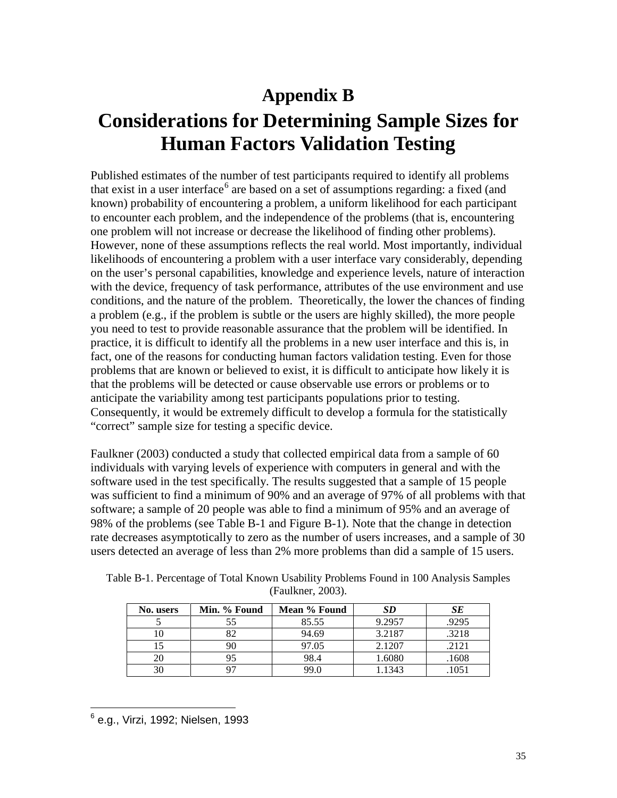## <span id="page-38-0"></span>**Appendix B Considerations for Determining Sample Sizes for Human Factors Validation Testing**

Published estimates of the number of test participants required to identify all problems that exist in a user interface<sup>[6](#page-38-1)</sup> are based on a set of assumptions regarding: a fixed (and known) probability of encountering a problem, a uniform likelihood for each participant to encounter each problem, and the independence of the problems (that is, encountering one problem will not increase or decrease the likelihood of finding other problems). However, none of these assumptions reflects the real world. Most importantly, individual likelihoods of encountering a problem with a user interface vary considerably, depending on the user's personal capabilities, knowledge and experience levels, nature of interaction with the device, frequency of task performance, attributes of the use environment and use conditions, and the nature of the problem. Theoretically, the lower the chances of finding a problem (e.g., if the problem is subtle or the users are highly skilled), the more people you need to test to provide reasonable assurance that the problem will be identified. In practice, it is difficult to identify all the problems in a new user interface and this is, in fact, one of the reasons for conducting human factors validation testing. Even for those problems that are known or believed to exist, it is difficult to anticipate how likely it is that the problems will be detected or cause observable use errors or problems or to anticipate the variability among test participants populations prior to testing. Consequently, it would be extremely difficult to develop a formula for the statistically "correct" sample size for testing a specific device.

Faulkner (2003) conducted a study that collected empirical data from a sample of 60 individuals with varying levels of experience with computers in general and with the software used in the test specifically. The results suggested that a sample of 15 people was sufficient to find a minimum of 90% and an average of 97% of all problems with that software; a sample of 20 people was able to find a minimum of 95% and an average of 98% of the problems (see Table B-1 and Figure B-1). Note that the change in detection rate decreases asymptotically to zero as the number of users increases, and a sample of 30 users detected an average of less than 2% more problems than did a sample of 15 users.

| No. users | Min. % Found | Mean % Found | SD     | SЕ    |
|-----------|--------------|--------------|--------|-------|
|           |              | 85.55        | 9.2957 | .9295 |
|           |              | 94.69        | 3.2187 | .3218 |
|           |              | 97.05        | 2.1207 | .2121 |
|           |              | 98.4         | 1.6080 | .1608 |
|           |              | 99 N         | 1.1343 | .1051 |

Table B-1. Percentage of Total Known Usability Problems Found in 100 Analysis Samples (Faulkner, 2003).

 $\overline{a}$ 

<span id="page-38-1"></span><sup>6</sup> e.g., Virzi, 1992; Nielsen, 1993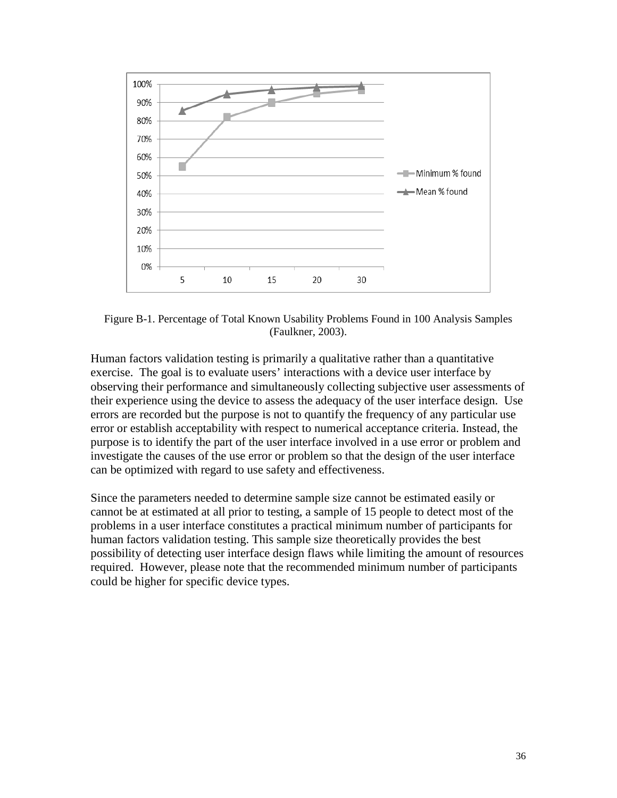

Figure B-1. Percentage of Total Known Usability Problems Found in 100 Analysis Samples (Faulkner, 2003).

Human factors validation testing is primarily a qualitative rather than a quantitative exercise. The goal is to evaluate users' interactions with a device user interface by observing their performance and simultaneously collecting subjective user assessments of their experience using the device to assess the adequacy of the user interface design. Use errors are recorded but the purpose is not to quantify the frequency of any particular use error or establish acceptability with respect to numerical acceptance criteria. Instead, the purpose is to identify the part of the user interface involved in a use error or problem and investigate the causes of the use error or problem so that the design of the user interface can be optimized with regard to use safety and effectiveness.

<span id="page-39-0"></span>Since the parameters needed to determine sample size cannot be estimated easily or cannot be at estimated at all prior to testing, a sample of 15 people to detect most of the problems in a user interface constitutes a practical minimum number of participants for human factors validation testing. This sample size theoretically provides the best possibility of detecting user interface design flaws while limiting the amount of resources required. However, please note that the recommended minimum number of participants could be higher for specific device types.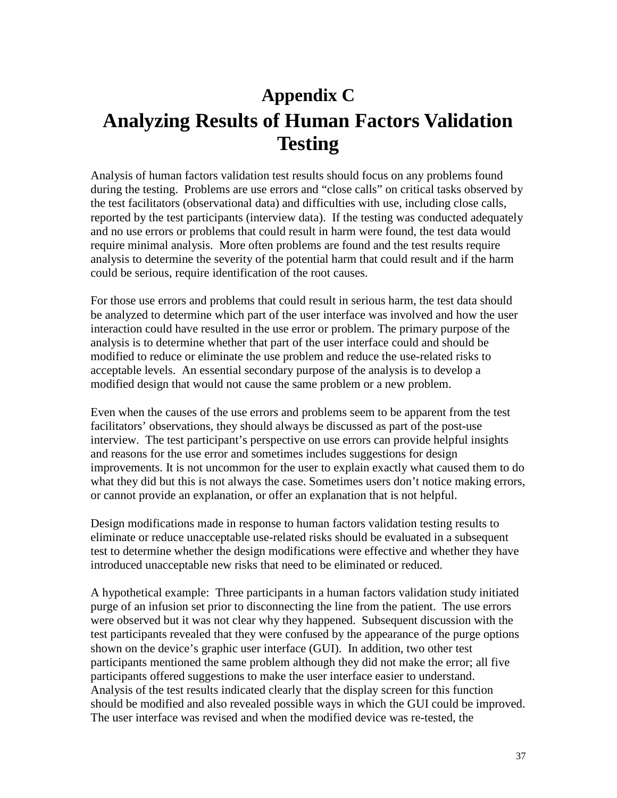## <span id="page-40-0"></span>**Appendix C Analyzing Results of Human Factors Validation Testing**

Analysis of human factors validation test results should focus on any problems found during the testing. Problems are use errors and "close calls" on critical tasks observed by the test facilitators (observational data) and difficulties with use, including close calls, reported by the test participants (interview data). If the testing was conducted adequately and no use errors or problems that could result in harm were found, the test data would require minimal analysis. More often problems are found and the test results require analysis to determine the severity of the potential harm that could result and if the harm could be serious, require identification of the root causes.

For those use errors and problems that could result in serious harm, the test data should be analyzed to determine which part of the user interface was involved and how the user interaction could have resulted in the use error or problem. The primary purpose of the analysis is to determine whether that part of the user interface could and should be modified to reduce or eliminate the use problem and reduce the use-related risks to acceptable levels. An essential secondary purpose of the analysis is to develop a modified design that would not cause the same problem or a new problem.

Even when the causes of the use errors and problems seem to be apparent from the test facilitators' observations, they should always be discussed as part of the post-use interview. The test participant's perspective on use errors can provide helpful insights and reasons for the use error and sometimes includes suggestions for design improvements. It is not uncommon for the user to explain exactly what caused them to do what they did but this is not always the case. Sometimes users don't notice making errors, or cannot provide an explanation, or offer an explanation that is not helpful.

Design modifications made in response to human factors validation testing results to eliminate or reduce unacceptable use-related risks should be evaluated in a subsequent test to determine whether the design modifications were effective and whether they have introduced unacceptable new risks that need to be eliminated or reduced.

A hypothetical example: Three participants in a human factors validation study initiated purge of an infusion set prior to disconnecting the line from the patient. The use errors were observed but it was not clear why they happened. Subsequent discussion with the test participants revealed that they were confused by the appearance of the purge options shown on the device's graphic user interface (GUI). In addition, two other test participants mentioned the same problem although they did not make the error; all five participants offered suggestions to make the user interface easier to understand. Analysis of the test results indicated clearly that the display screen for this function should be modified and also revealed possible ways in which the GUI could be improved. The user interface was revised and when the modified device was re-tested, the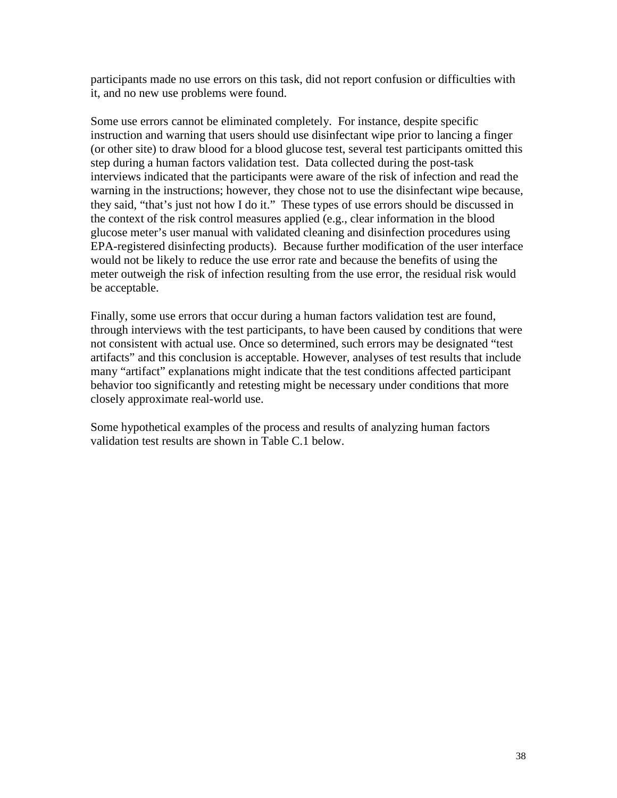participants made no use errors on this task, did not report confusion or difficulties with it, and no new use problems were found.

Some use errors cannot be eliminated completely. For instance, despite specific instruction and warning that users should use disinfectant wipe prior to lancing a finger (or other site) to draw blood for a blood glucose test, several test participants omitted this step during a human factors validation test. Data collected during the post-task interviews indicated that the participants were aware of the risk of infection and read the warning in the instructions; however, they chose not to use the disinfectant wipe because, they said, "that's just not how I do it." These types of use errors should be discussed in the context of the risk control measures applied (e.g., clear information in the blood glucose meter's user manual with validated cleaning and disinfection procedures using EPA-registered disinfecting products). Because further modification of the user interface would not be likely to reduce the use error rate and because the benefits of using the meter outweigh the risk of infection resulting from the use error, the residual risk would be acceptable.

Finally, some use errors that occur during a human factors validation test are found, through interviews with the test participants, to have been caused by conditions that were not consistent with actual use. Once so determined, such errors may be designated "test artifacts" and this conclusion is acceptable. However, analyses of test results that include many "artifact" explanations might indicate that the test conditions affected participant behavior too significantly and retesting might be necessary under conditions that more closely approximate real-world use.

Some hypothetical examples of the process and results of analyzing human factors validation test results are shown in Table C.1 below.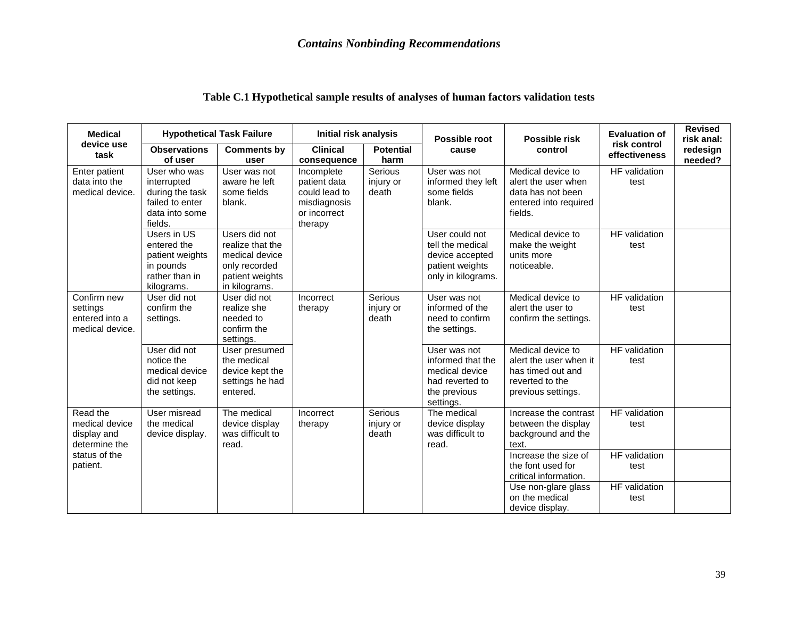| <b>Medical</b>                                               | <b>Hypothetical Task Failure</b>                                                               |                                                                                                          | Initial risk analysis                                                                  |                               | Possible root                                                                                       | Possible risk                                                                                             | <b>Evaluation of</b>          | <b>Revised</b><br>risk anal: |
|--------------------------------------------------------------|------------------------------------------------------------------------------------------------|----------------------------------------------------------------------------------------------------------|----------------------------------------------------------------------------------------|-------------------------------|-----------------------------------------------------------------------------------------------------|-----------------------------------------------------------------------------------------------------------|-------------------------------|------------------------------|
| device use<br>task                                           | <b>Observations</b><br>of user                                                                 | <b>Comments by</b><br>user                                                                               | <b>Clinical</b><br>consequence                                                         | <b>Potential</b><br>harm      | cause                                                                                               | control                                                                                                   | risk control<br>effectiveness | redesian<br>needed?          |
| Enter patient<br>data into the<br>medical device.            | User who was<br>interrupted<br>during the task<br>failed to enter<br>data into some<br>fields. | User was not<br>aware he left<br>some fields<br>blank.                                                   | Incomplete<br>patient data<br>could lead to<br>misdiagnosis<br>or incorrect<br>therapy | Serious<br>injury or<br>death | User was not<br>informed they left<br>some fields<br>blank.                                         | Medical device to<br>alert the user when<br>data has not been<br>entered into required<br>fields.         | HF validation<br>test         |                              |
|                                                              | Users in US<br>entered the<br>patient weights<br>in pounds<br>rather than in<br>kilograms.     | Users did not<br>realize that the<br>medical device<br>only recorded<br>patient weights<br>in kilograms. |                                                                                        |                               | User could not<br>tell the medical<br>device accepted<br>patient weights<br>only in kilograms.      | Medical device to<br>make the weight<br>units more<br>noticeable.                                         | HF validation<br>test         |                              |
| Confirm new<br>settings<br>entered into a<br>medical device. | User did not<br>confirm the<br>settings.                                                       | User did not<br>realize she<br>needed to<br>confirm the<br>settings.                                     | Incorrect<br>therapy                                                                   | Serious<br>injury or<br>death | User was not<br>informed of the<br>need to confirm<br>the settings.                                 | Medical device to<br>alert the user to<br>confirm the settings.                                           | HF validation<br>test         |                              |
|                                                              | User did not<br>notice the<br>medical device<br>did not keep<br>the settings.                  | User presumed<br>the medical<br>device kept the<br>settings he had<br>entered.                           |                                                                                        |                               | User was not<br>informed that the<br>medical device<br>had reverted to<br>the previous<br>settings. | Medical device to<br>alert the user when it<br>has timed out and<br>reverted to the<br>previous settings. | <b>HF</b> validation<br>test  |                              |
| Read the<br>medical device<br>display and<br>determine the   | User misread<br>the medical<br>device display.                                                 | The medical<br>device display<br>was difficult to<br>read.                                               | Incorrect<br>therapy                                                                   | Serious<br>injury or<br>death | The medical<br>device display<br>was difficult to<br>read.                                          | Increase the contrast<br>between the display<br>background and the<br>text.                               | <b>HF</b> validation<br>test  |                              |
| status of the<br>patient.                                    |                                                                                                |                                                                                                          |                                                                                        |                               |                                                                                                     | Increase the size of<br>the font used for<br>critical information.                                        | <b>HF</b> validation<br>test  |                              |
|                                                              |                                                                                                |                                                                                                          |                                                                                        |                               |                                                                                                     | Use non-glare glass<br>on the medical<br>device display.                                                  | <b>HF</b> validation<br>test  |                              |

#### **Table C.1 Hypothetical sample results of analyses of human factors validation tests**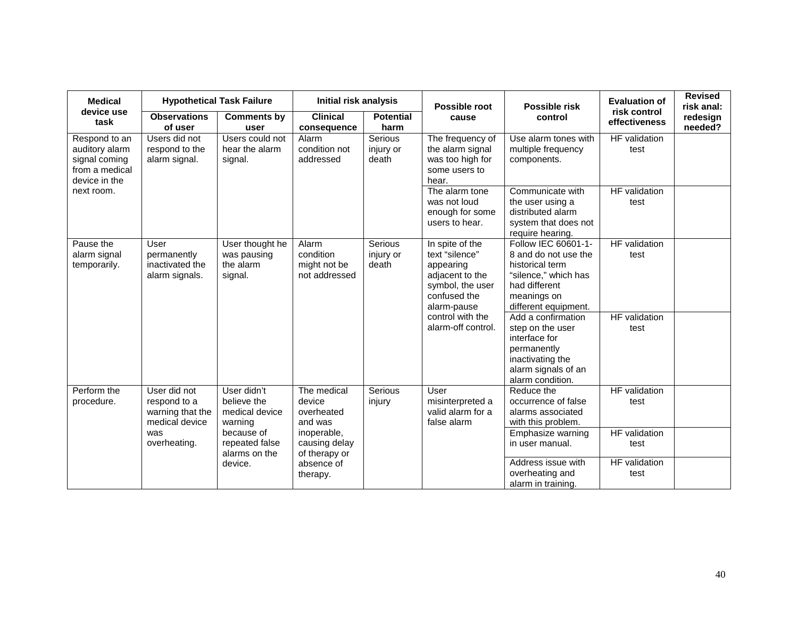| <b>Medical</b>                                                                      | <b>Hypothetical Task Failure</b>                                   |                                                                                                | Initial risk analysis                               |                               | Possible root                                                                                                        | <b>Evaluation of</b><br>Possible risk                                                                                                          |                               | <b>Revised</b><br>risk anal: |
|-------------------------------------------------------------------------------------|--------------------------------------------------------------------|------------------------------------------------------------------------------------------------|-----------------------------------------------------|-------------------------------|----------------------------------------------------------------------------------------------------------------------|------------------------------------------------------------------------------------------------------------------------------------------------|-------------------------------|------------------------------|
| device use<br>task                                                                  | <b>Observations</b><br>of user                                     | <b>Comments by</b><br>user                                                                     | <b>Clinical</b><br>consequence                      | <b>Potential</b><br>harm      | cause                                                                                                                | control                                                                                                                                        | risk control<br>effectiveness | redesign<br>needed?          |
| Respond to an<br>auditory alarm<br>signal coming<br>from a medical<br>device in the | Users did not<br>respond to the<br>alarm signal.                   | Users could not<br>hear the alarm<br>signal.                                                   | Alarm<br>condition not<br>addressed                 | Serious<br>injury or<br>death | The frequency of<br>the alarm signal<br>was too high for<br>some users to<br>hear.                                   | Use alarm tones with<br>multiple frequency<br>components.                                                                                      | HF validation<br>test         |                              |
| next room.                                                                          |                                                                    |                                                                                                |                                                     |                               | The alarm tone<br>was not loud<br>enough for some<br>users to hear.                                                  | Communicate with<br>the user using a<br>distributed alarm<br>system that does not<br>require hearing.                                          | <b>HF</b> validation<br>test  |                              |
| Pause the<br>alarm signal<br>temporarily.                                           | User<br>permanently<br>inactivated the<br>alarm signals.           | User thought he<br>was pausing<br>the alarm<br>signal.                                         | Alarm<br>condition<br>might not be<br>not addressed | Serious<br>injury or<br>death | In spite of the<br>text "silence"<br>appearing<br>adjacent to the<br>symbol, the user<br>confused the<br>alarm-pause | Follow IEC 60601-1-<br>8 and do not use the<br>historical term<br>"silence," which has<br>had different<br>meanings on<br>different equipment. | <b>HF</b> validation<br>test  |                              |
|                                                                                     |                                                                    |                                                                                                |                                                     |                               | control with the<br>alarm-off control.                                                                               | Add a confirmation<br>step on the user<br>interface for<br>permanently<br>inactivating the<br>alarm signals of an<br>alarm condition.          | <b>HF</b> validation<br>test  |                              |
| Perform the<br>procedure.                                                           | User did not<br>respond to a<br>warning that the<br>medical device | User didn't<br>believe the<br>medical device<br>warning                                        | The medical<br>device<br>overheated<br>and was      | Serious<br>injury             | User<br>misinterpreted a<br>valid alarm for a<br>false alarm                                                         | Reduce the<br>occurrence of false<br>alarms associated<br>with this problem.                                                                   | HF validation<br>test         |                              |
|                                                                                     | was<br>overheating.                                                | because of<br>inoperable,<br>causing delay<br>repeated false<br>alarms on the<br>of therapy or |                                                     |                               | Emphasize warning<br>in user manual.                                                                                 | HF validation<br>test                                                                                                                          |                               |                              |
|                                                                                     |                                                                    | device.                                                                                        | absence of<br>therapy.                              |                               |                                                                                                                      | Address issue with<br>overheating and<br>alarm in training.                                                                                    | <b>HF</b> validation<br>test  |                              |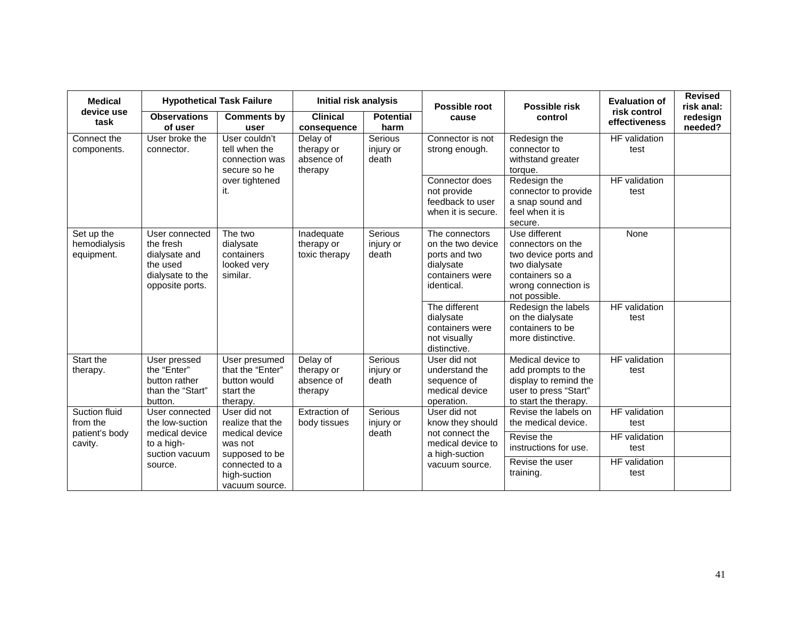| <b>Medical</b>                           | <b>Hypothetical Task Failure</b>                                                                |                                                                            | Initial risk analysis                           |                               | Possible root                                                                                      | Possible risk                                                                                                                          | <b>Evaluation of</b>          | <b>Revised</b><br>risk anal: |
|------------------------------------------|-------------------------------------------------------------------------------------------------|----------------------------------------------------------------------------|-------------------------------------------------|-------------------------------|----------------------------------------------------------------------------------------------------|----------------------------------------------------------------------------------------------------------------------------------------|-------------------------------|------------------------------|
| device use<br>task                       | <b>Observations</b><br>of user                                                                  | <b>Comments by</b><br>user                                                 | <b>Clinical</b><br>consequence                  | <b>Potential</b><br>harm      | cause                                                                                              | control                                                                                                                                | risk control<br>effectiveness | redesign<br>needed?          |
| Connect the<br>components.               | User broke the<br>connector.                                                                    | User couldn't<br>tell when the<br>connection was<br>secure so he           | Delay of<br>therapy or<br>absence of<br>therapy | Serious<br>injury or<br>death | Connector is not<br>strong enough.                                                                 | Redesign the<br>connector to<br>withstand greater<br>torque.                                                                           | HF validation<br>test         |                              |
|                                          |                                                                                                 | over tightened<br>it.                                                      |                                                 |                               | Connector does<br>not provide<br>feedback to user<br>when it is secure.                            | Redesign the<br>connector to provide<br>a snap sound and<br>feel when it is<br>secure.                                                 | HF validation<br>test         |                              |
| Set up the<br>hemodialysis<br>equipment. | User connected<br>the fresh<br>dialysate and<br>the used<br>dialysate to the<br>opposite ports. | The two<br>dialysate<br>containers<br>looked very<br>similar.              | Inadequate<br>therapy or<br>toxic therapy       | Serious<br>injury or<br>death | The connectors<br>on the two device<br>ports and two<br>dialysate<br>containers were<br>identical. | Use different<br>connectors on the<br>two device ports and<br>two dialysate<br>containers so a<br>wrong connection is<br>not possible. | None                          |                              |
|                                          |                                                                                                 |                                                                            |                                                 |                               | The different<br>dialysate<br>containers were<br>not visually<br>distinctive.                      | Redesign the labels<br>on the dialysate<br>containers to be<br>more distinctive.                                                       | <b>HF</b> validation<br>test  |                              |
| Start the<br>therapy.                    | User pressed<br>the "Enter"<br>button rather<br>than the "Start"<br>button.                     | User presumed<br>that the "Enter"<br>button would<br>start the<br>therapy. | Delay of<br>therapy or<br>absence of<br>therapy | Serious<br>injury or<br>death | User did not<br>understand the<br>sequence of<br>medical device<br>operation.                      | Medical device to<br>add prompts to the<br>display to remind the<br>user to press "Start"<br>to start the therapy.                     | <b>HF</b> validation<br>test  |                              |
| Suction fluid<br>from the                | User connected<br>the low-suction                                                               | User did not<br>realize that the                                           | Extraction of<br>body tissues                   | Serious<br>injury or          | User did not<br>know they should                                                                   | Revise the labels on<br>the medical device.                                                                                            | HF validation<br>test         |                              |
| patient's body<br>cavity.                | medical device<br>to a high-                                                                    | medical device<br>was not<br>suction vacuum<br>supposed to be              |                                                 | death                         | not connect the<br>medical device to<br>a high-suction                                             | Revise the<br>instructions for use.                                                                                                    | <b>HF</b> validation<br>test  |                              |
|                                          | source.                                                                                         | connected to a<br>high-suction<br>vacuum source.                           |                                                 |                               | vacuum source.                                                                                     | Revise the user<br>training.                                                                                                           | HF validation<br>test         |                              |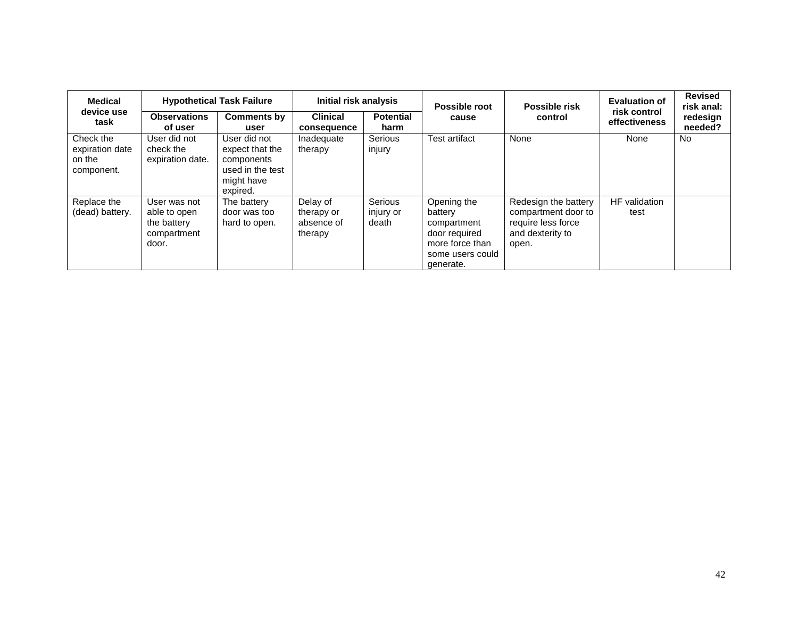| Medical                                              |                                                                     | <b>Hypothetical Task Failure</b>                                                            | Initial risk analysis                           |                               | Possible root                                                                                              | Possible risk                                                                                  | <b>Evaluation of</b>          | <b>Revised</b><br>risk anal: |
|------------------------------------------------------|---------------------------------------------------------------------|---------------------------------------------------------------------------------------------|-------------------------------------------------|-------------------------------|------------------------------------------------------------------------------------------------------------|------------------------------------------------------------------------------------------------|-------------------------------|------------------------------|
| device use<br>task                                   | <b>Observations</b><br>of user                                      | <b>Comments by</b><br>user                                                                  | <b>Clinical</b><br>consequence                  | <b>Potential</b><br>harm      | cause                                                                                                      | control                                                                                        | risk control<br>effectiveness | redesign<br>needed?          |
| Check the<br>expiration date<br>on the<br>component. | User did not<br>check the<br>expiration date.                       | User did not<br>expect that the<br>components<br>used in the test<br>might have<br>expired. | Inadequate<br>therapy                           | Serious<br>injury             | Test artifact                                                                                              | None                                                                                           | None                          | No.                          |
| Replace the<br>(dead) battery.                       | User was not<br>able to open<br>the battery<br>compartment<br>door. | The battery<br>door was too<br>hard to open.                                                | Delay of<br>therapy or<br>absence of<br>therapy | Serious<br>injury or<br>death | Opening the<br>battery<br>compartment<br>door required<br>more force than<br>some users could<br>generate. | Redesign the battery<br>compartment door to<br>require less force<br>and dexterity to<br>open. | HF validation<br>test         |                              |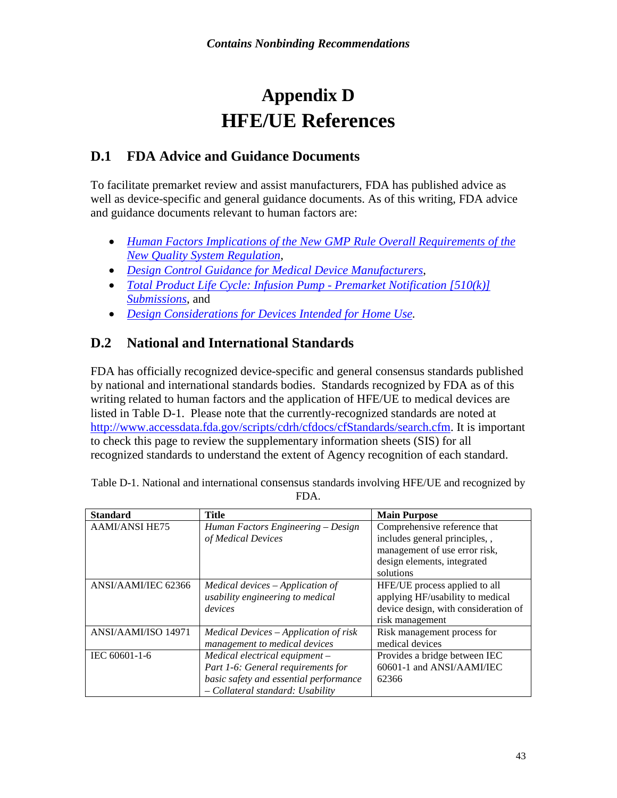## **Appendix D HFE/UE References**

#### <span id="page-46-0"></span>**D.1 FDA Advice and Guidance Documents**

To facilitate premarket review and assist manufacturers, FDA has published advice as well as device-specific and general guidance documents. As of this writing, FDA advice and guidance documents relevant to human factors are:

- *[Human Factors Implications of the New GMP Rule Overall Requirements of the](http://www.fda.gov/medicaldevices/deviceregulationandguidance/humanfactors/ucm119215.htm)  [New Quality System Regulation](http://www.fda.gov/medicaldevices/deviceregulationandguidance/humanfactors/ucm119215.htm)*,
- *[Design Control Guidance for Medical Device Manufacturers](http://www.fda.gov/MedicalDevices/DeviceRegulationandGuidance/GuidanceDocuments/ucm070627.htm)*,
- *[Total Product Life Cycle: Infusion Pump Premarket Notification \[510\(k\)\]](http://www.fda.gov/downloads/MedicalDevices/DeviceRegulationandGuidance/GuidanceDocuments/UCM209337.pdf)  [Submissions](http://www.fda.gov/downloads/MedicalDevices/DeviceRegulationandGuidance/GuidanceDocuments/UCM209337.pdf)*, and
- *[Design Considerations for Devices Intended for Home Use.](http://www.fda.gov/downloads/MedicalDevices/DeviceRegulationandGuidance/GuidanceDocuments/UCM331681.pdf)*

#### **D.2 National and International Standards**

FDA has officially recognized device-specific and general consensus standards published by national and international standards bodies. Standards recognized by FDA as of this writing related to human factors and the application of HFE/UE to medical devices are listed in Table D-1. Please note that the currently-recognized standards are noted at [http://www.accessdata.fda.gov/scripts/cdrh/cfdocs/cfStandards/search.cfm.](http://www.accessdata.fda.gov/scripts/cdrh/cfdocs/cfStandards/search.cfm) It is important to check this page to review the supplementary information sheets (SIS) for all recognized standards to understand the extent of Agency recognition of each standard.

| <b>Standard</b>       | <b>Title</b>                           | <b>Main Purpose</b>                  |
|-----------------------|----------------------------------------|--------------------------------------|
| <b>AAMI/ANSI HE75</b> | Human Factors Engineering – Design     | Comprehensive reference that         |
|                       | of Medical Devices                     | includes general principles,,        |
|                       |                                        | management of use error risk,        |
|                       |                                        | design elements, integrated          |
|                       |                                        | solutions                            |
| ANSI/AAMI/IEC 62366   | $Medical devices - Application of$     | HFE/UE process applied to all        |
|                       | usability engineering to medical       | applying HF/usability to medical     |
|                       | devices                                | device design, with consideration of |
|                       |                                        | risk management                      |
| ANSI/AAMI/ISO 14971   | Medical Devices – Application of risk  | Risk management process for          |
|                       | management to medical devices          | medical devices                      |
| IEC 60601-1-6         | Medical electrical equipment -         | Provides a bridge between IEC        |
|                       | Part 1-6: General requirements for     | 60601-1 and ANSI/AAMI/IEC            |
|                       | basic safety and essential performance | 62366                                |
|                       | - Collateral standard: Usability       |                                      |

Table D-1. National and international consensus standards involving HFE/UE and recognized by FDA.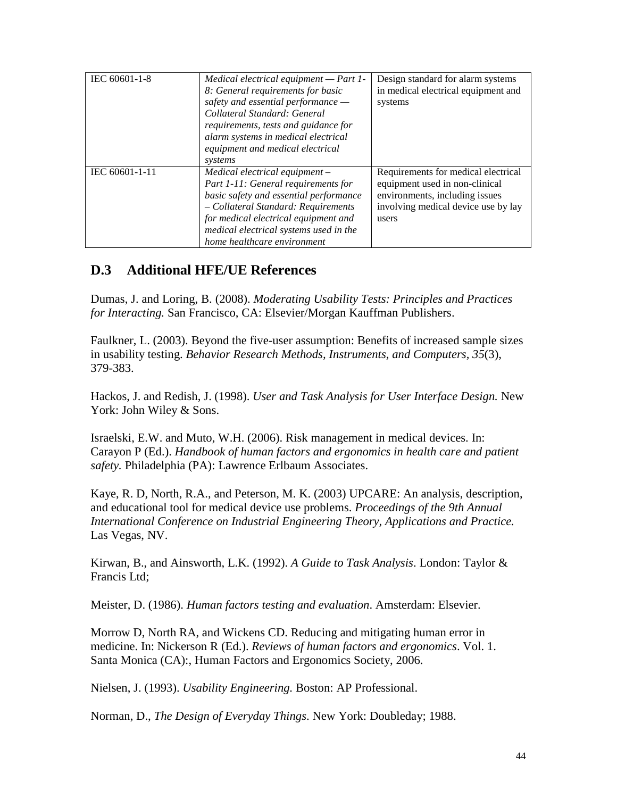| IEC 60601-1-8  | Medical electrical equipment $-$ Part 1-<br>8: General requirements for basic<br>safety and essential performance -<br>Collateral Standard: General<br>requirements, tests and guidance for<br>alarm systems in medical electrical<br>equipment and medical electrical<br>systems | Design standard for alarm systems<br>in medical electrical equipment and<br>systems                                                                     |
|----------------|-----------------------------------------------------------------------------------------------------------------------------------------------------------------------------------------------------------------------------------------------------------------------------------|---------------------------------------------------------------------------------------------------------------------------------------------------------|
| IEC 60601-1-11 | Medical electrical equipment $-$<br>Part 1-11: General requirements for<br>basic safety and essential performance<br>- Collateral Standard: Requirements<br>for medical electrical equipment and<br>medical electrical systems used in the<br>home healthcare environment         | Requirements for medical electrical<br>equipment used in non-clinical<br>environments, including issues<br>involving medical device use by lay<br>users |

#### **D.3 Additional HFE/UE References**

Dumas, J. and Loring, B. (2008). *Moderating Usability Tests: Principles and Practices for Interacting.* San Francisco, CA: Elsevier/Morgan Kauffman Publishers.

Faulkner, L. (2003). Beyond the five-user assumption: Benefits of increased sample sizes in usability testing. *Behavior Research Methods, Instruments, and Computers, 35*(3), 379-383.

Hackos, J. and Redish, J. (1998). *User and Task Analysis for User Interface Design.* New York: John Wiley & Sons.

Israelski, E.W. and Muto, W.H. (2006). Risk management in medical devices. In: Carayon P (Ed.). *Handbook of human factors and ergonomics in health care and patient safety.* Philadelphia (PA): Lawrence Erlbaum Associates.

Kaye, R. D, North, R.A., and Peterson, M. K. (2003) UPCARE: An analysis, description, and educational tool for medical device use problems. *Proceedings of the 9th Annual International Conference on Industrial Engineering Theory, Applications and Practice.*  Las Vegas, NV.

Kirwan, B., and Ainsworth, L.K. (1992). *A Guide to Task Analysis*. London: Taylor & Francis Ltd;

Meister, D. (1986). *Human factors testing and evaluation*. Amsterdam: Elsevier.

Morrow D, North RA, and Wickens CD. Reducing and mitigating human error in medicine. In: Nickerson R (Ed.). *Reviews of human factors and ergonomics*. Vol. 1. Santa Monica (CA):, Human Factors and Ergonomics Society, 2006.

Nielsen, J. (1993). *Usability Engineering.* Boston: AP Professional.

Norman, D., *The Design of Everyday Things*. New York: Doubleday; 1988.